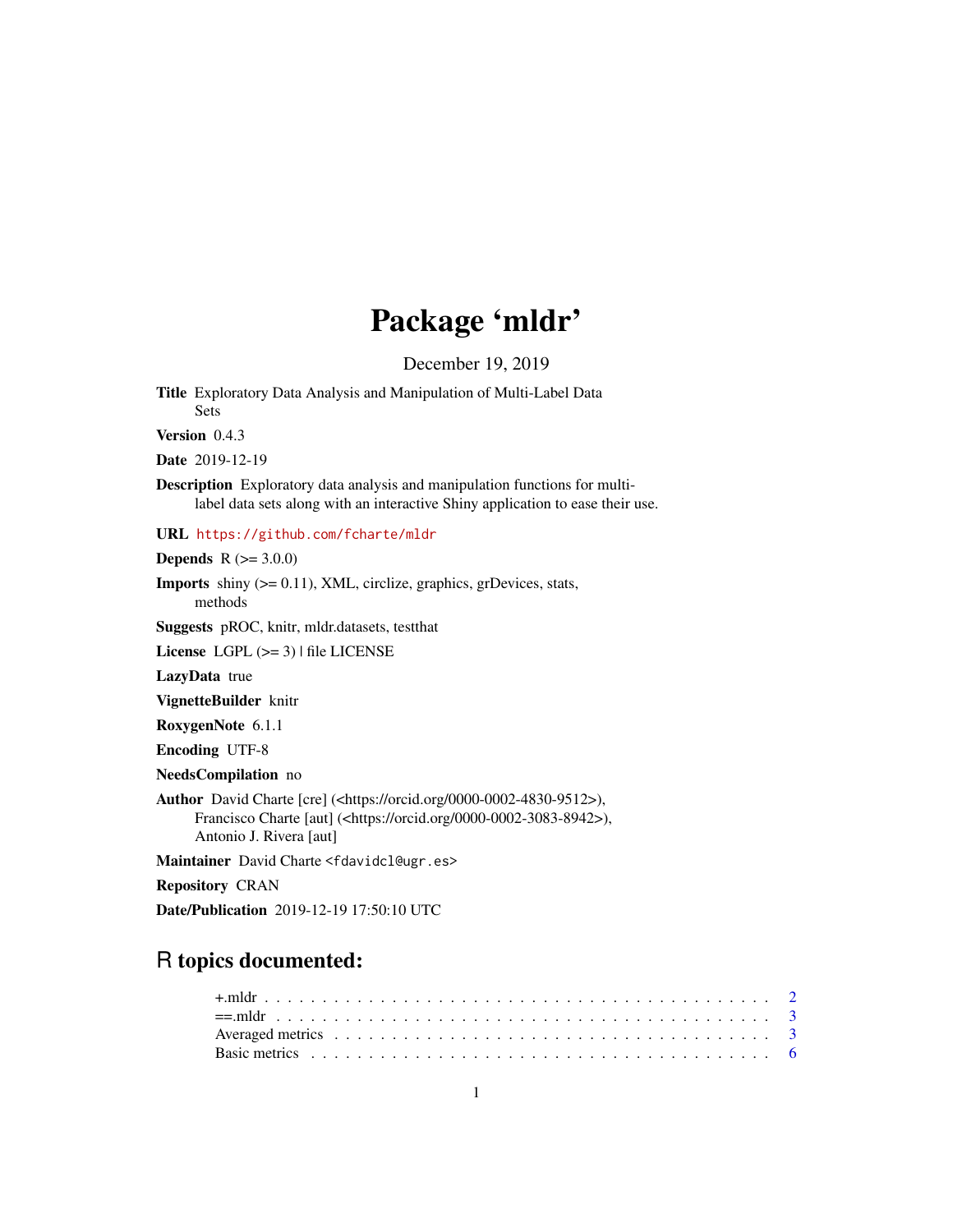# Package 'mldr'

December 19, 2019

<span id="page-0-0"></span>Title Exploratory Data Analysis and Manipulation of Multi-Label Data Sets

Version 0.4.3

Date 2019-12-19

Description Exploratory data analysis and manipulation functions for multilabel data sets along with an interactive Shiny application to ease their use.

URL <https://github.com/fcharte/mldr>

**Depends** R  $(>= 3.0.0)$ 

Imports shiny (>= 0.11), XML, circlize, graphics, grDevices, stats, methods

Suggests pROC, knitr, mldr.datasets, testthat

License LGPL  $(>= 3)$  | file LICENSE

LazyData true

VignetteBuilder knitr

RoxygenNote 6.1.1

Encoding UTF-8

NeedsCompilation no

Author David Charte [cre] (<https://orcid.org/0000-0002-4830-9512>), Francisco Charte [aut] (<https://orcid.org/0000-0002-3083-8942>), Antonio J. Rivera [aut]

Maintainer David Charte <fdavidcl@ugr.es>

Repository CRAN

Date/Publication 2019-12-19 17:50:10 UTC

# R topics documented: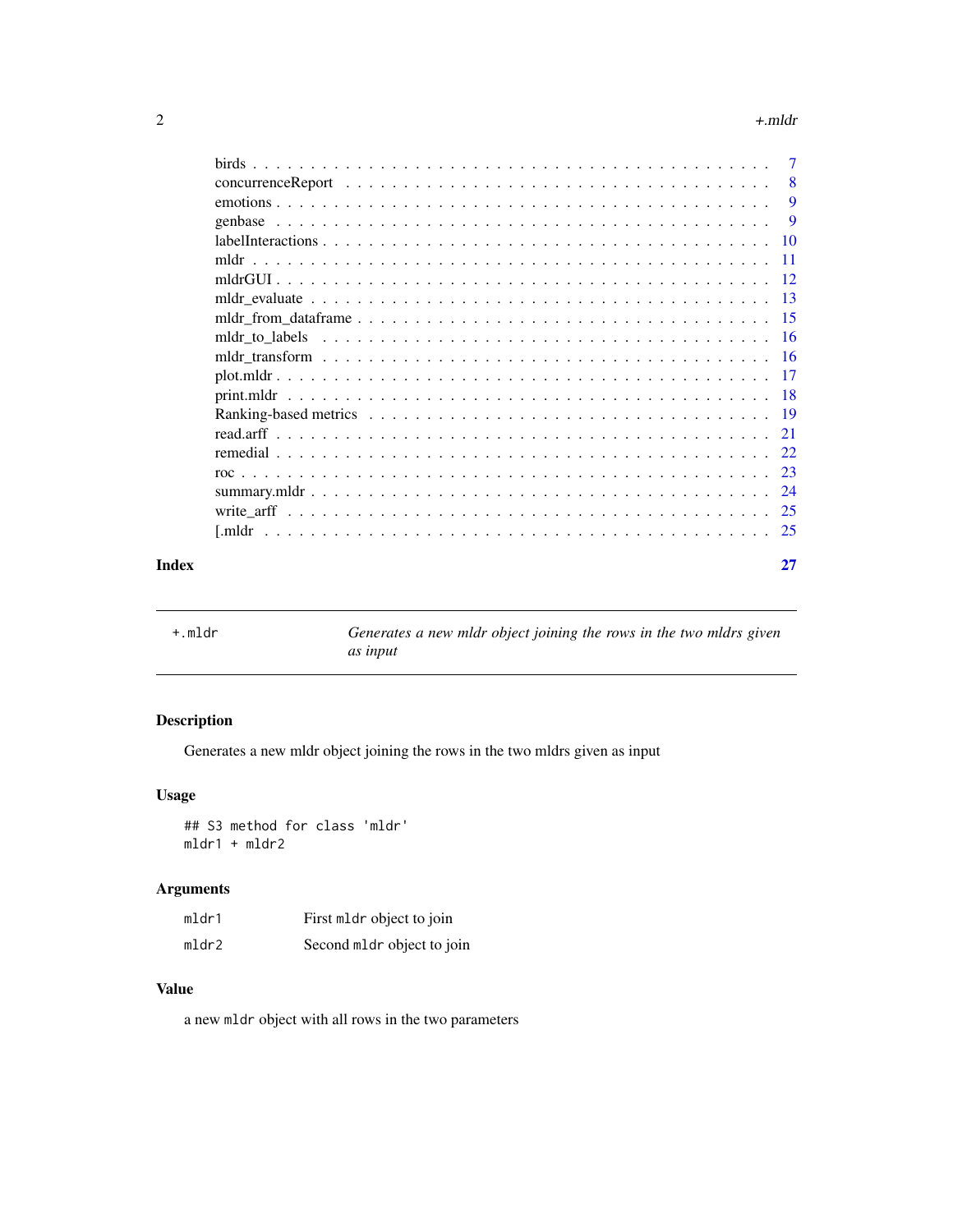#### <span id="page-1-0"></span> $2 \rightarrow +m$

|       |                                                                                                             | 9  |
|-------|-------------------------------------------------------------------------------------------------------------|----|
|       |                                                                                                             |    |
|       |                                                                                                             |    |
|       |                                                                                                             |    |
|       |                                                                                                             |    |
|       |                                                                                                             |    |
|       |                                                                                                             |    |
|       |                                                                                                             |    |
|       | mldr transform $\ldots \ldots \ldots \ldots \ldots \ldots \ldots \ldots \ldots \ldots \ldots \ldots \ldots$ |    |
|       |                                                                                                             |    |
|       |                                                                                                             |    |
|       |                                                                                                             |    |
|       |                                                                                                             |    |
|       |                                                                                                             |    |
|       |                                                                                                             |    |
|       |                                                                                                             |    |
|       |                                                                                                             |    |
|       |                                                                                                             |    |
| Index |                                                                                                             | 27 |

<span id="page-1-1"></span>+.mldr *Generates a new mldr object joining the rows in the two mldrs given as input*

# Description

Generates a new mldr object joining the rows in the two mldrs given as input

# Usage

## S3 method for class 'mldr' mldr1 + mldr2

# Arguments

| mldr1 | First mldr object to join  |
|-------|----------------------------|
| mldr2 | Second mldr object to join |

# Value

a new mldr object with all rows in the two parameters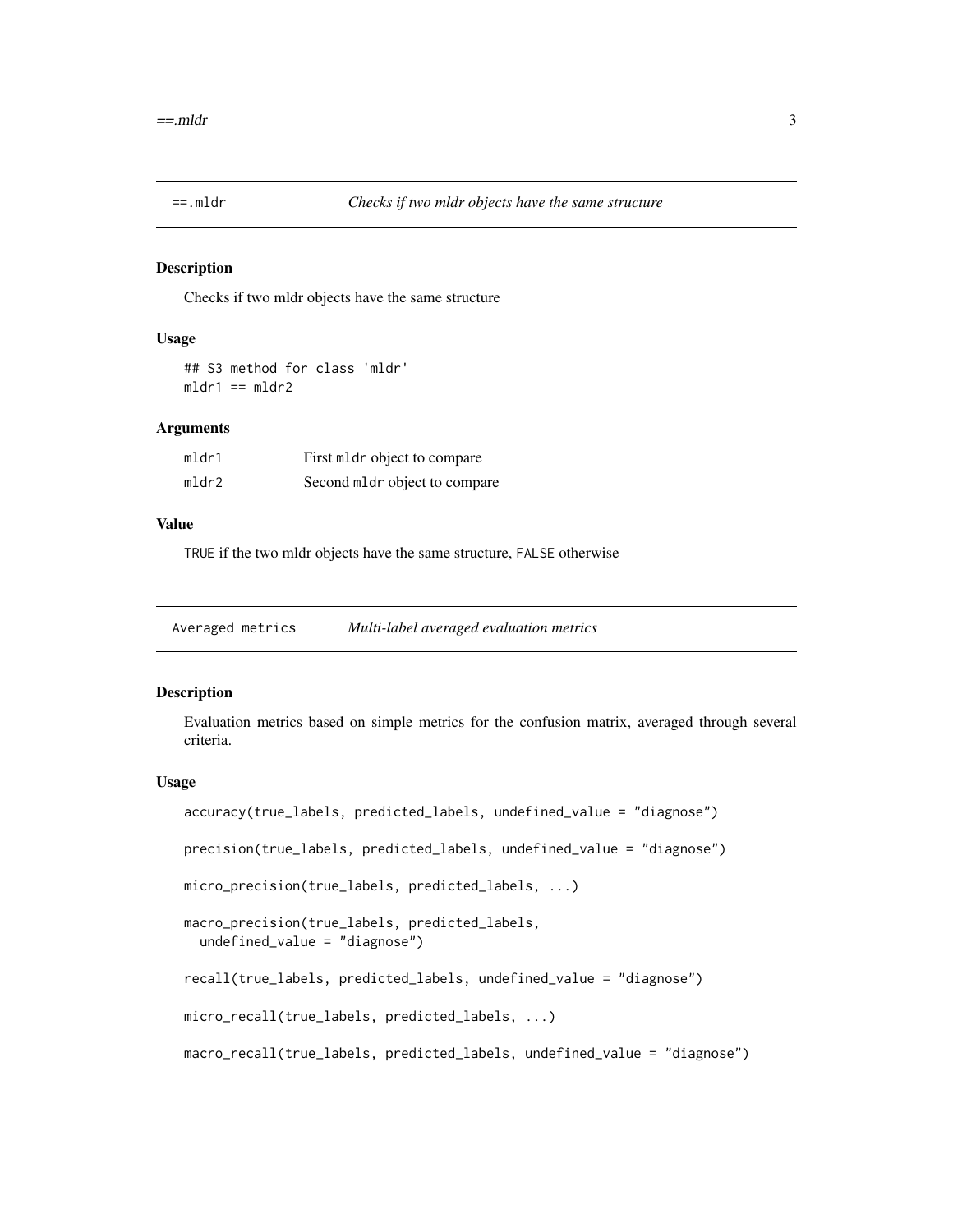<span id="page-2-2"></span><span id="page-2-0"></span>

#### Description

Checks if two mldr objects have the same structure

#### Usage

## S3 method for class 'mldr'  $mldr1 == mldr2$ 

# Arguments

| mldr1 | First mldr object to compare  |
|-------|-------------------------------|
| mldr2 | Second mldr object to compare |

#### Value

TRUE if the two mldr objects have the same structure, FALSE otherwise

<span id="page-2-1"></span>Averaged metrics *Multi-label averaged evaluation metrics*

#### Description

Evaluation metrics based on simple metrics for the confusion matrix, averaged through several criteria.

#### Usage

```
accuracy(true_labels, predicted_labels, undefined_value = "diagnose")
precision(true_labels, predicted_labels, undefined_value = "diagnose")
micro_precision(true_labels, predicted_labels, ...)
macro_precision(true_labels, predicted_labels,
 undefined_value = "diagnose")
recall(true_labels, predicted_labels, undefined_value = "diagnose")
micro_recall(true_labels, predicted_labels, ...)
macro_recall(true_labels, predicted_labels, undefined_value = "diagnose")
```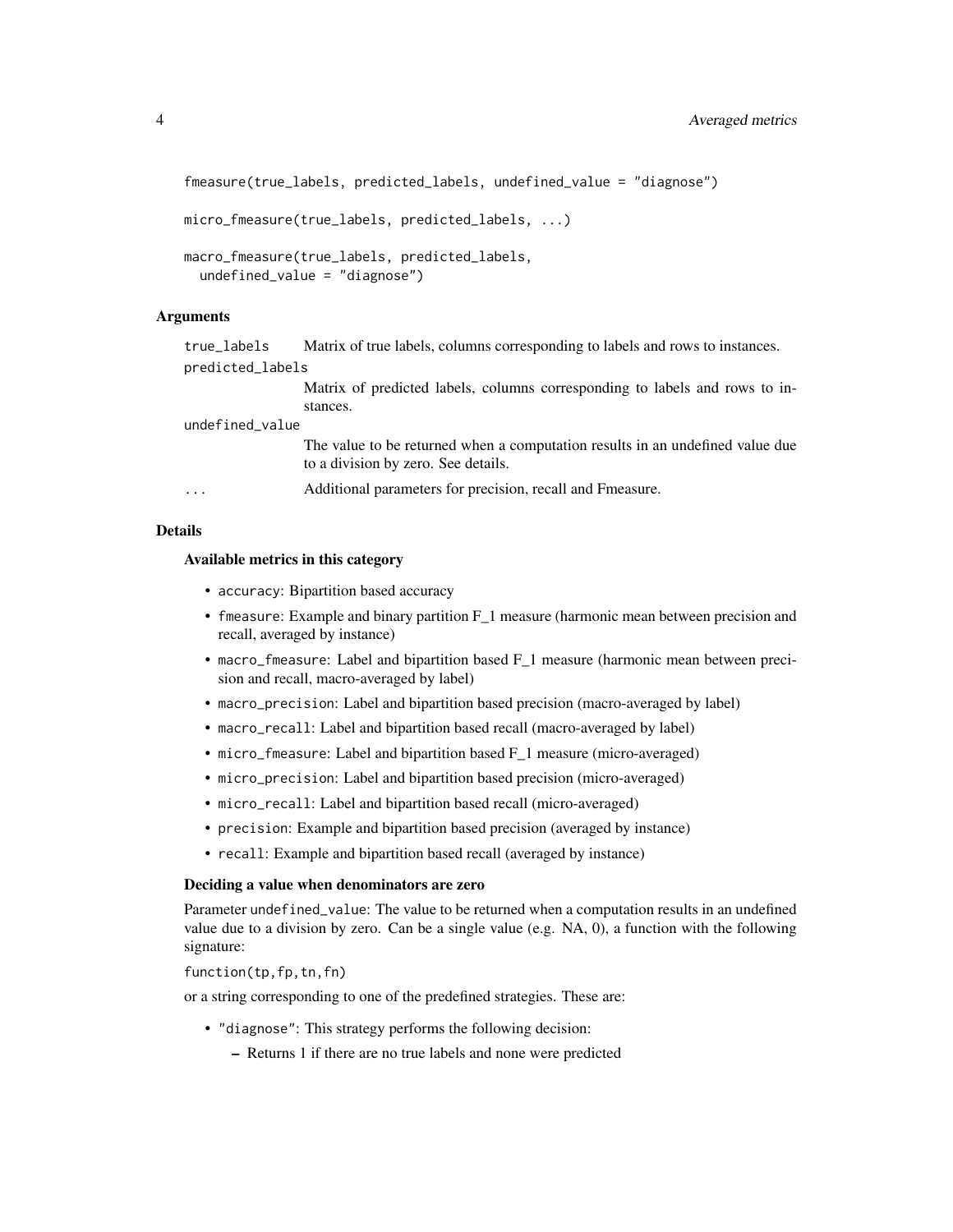```
fmeasure(true_labels, predicted_labels, undefined_value = "diagnose")
micro_fmeasure(true_labels, predicted_labels, ...)
macro_fmeasure(true_labels, predicted_labels,
  undefined_value = "diagnose")
```
# Arguments

true\_labels Matrix of true labels, columns corresponding to labels and rows to instances. predicted\_labels

> Matrix of predicted labels, columns corresponding to labels and rows to instances.

undefined\_value

The value to be returned when a computation results in an undefined value due to a division by zero. See details.

... Additional parameters for precision, recall and Fmeasure.

#### Details

#### Available metrics in this category

- accuracy: Bipartition based accuracy
- fmeasure: Example and binary partition F<sub>1</sub> measure (harmonic mean between precision and recall, averaged by instance)
- macro\_fmeasure: Label and bipartition based F\_1 measure (harmonic mean between precision and recall, macro-averaged by label)
- macro\_precision: Label and bipartition based precision (macro-averaged by label)
- macro\_recall: Label and bipartition based recall (macro-averaged by label)
- micro\_fmeasure: Label and bipartition based F\_1 measure (micro-averaged)
- micro\_precision: Label and bipartition based precision (micro-averaged)
- micro\_recall: Label and bipartition based recall (micro-averaged)
- precision: Example and bipartition based precision (averaged by instance)
- recall: Example and bipartition based recall (averaged by instance)

#### Deciding a value when denominators are zero

Parameter undefined\_value: The value to be returned when a computation results in an undefined value due to a division by zero. Can be a single value (e.g. NA, 0), a function with the following signature:

function(tp,fp,tn,fn)

or a string corresponding to one of the predefined strategies. These are:

- "diagnose": This strategy performs the following decision:
	- Returns 1 if there are no true labels and none were predicted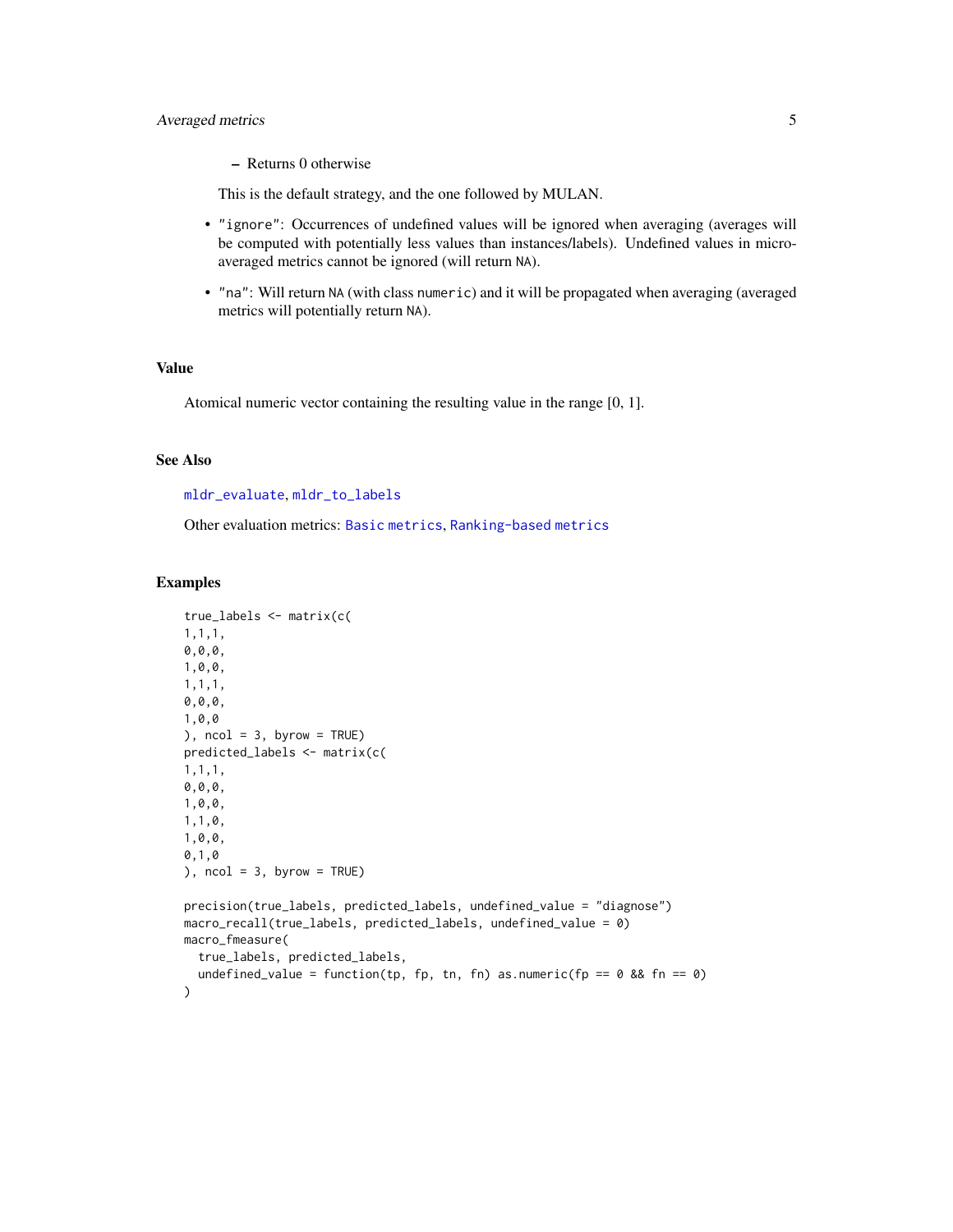# <span id="page-4-0"></span>Averaged metrics 5

This is the default strategy, and the one followed by MULAN.

- "ignore": Occurrences of undefined values will be ignored when averaging (averages will be computed with potentially less values than instances/labels). Undefined values in microaveraged metrics cannot be ignored (will return NA).
- "na": Will return NA (with class numeric) and it will be propagated when averaging (averaged metrics will potentially return NA).

# Value

Atomical numeric vector containing the resulting value in the range [0, 1].

# See Also

#### [mldr\\_evaluate](#page-12-1), [mldr\\_to\\_labels](#page-15-1)

Other evaluation metrics: [Basic metrics](#page-5-1), [Ranking-based metrics](#page-18-1)

#### Examples

```
true_labels <- matrix(c(
1,1,1,
0,0,0,
1,0,0,
1,1,1,
0,0,0,
1,0,0
), ncol = 3, byrow = TRUE)
predicted_labels <- matrix(c(
1,1,1,
0,0,0,
1,0,0,
1,1,0,
1,0,0,
0,1,0
), ncol = 3, byrow = TRUE)
precision(true_labels, predicted_labels, undefined_value = "diagnose")
macro_recall(true_labels, predicted_labels, undefined_value = 0)
macro_fmeasure(
  true_labels, predicted_labels,
  undefined_value = function(tp, fp, tn, fn) as.numeric(fp == 0 && fn == 0)
\lambda
```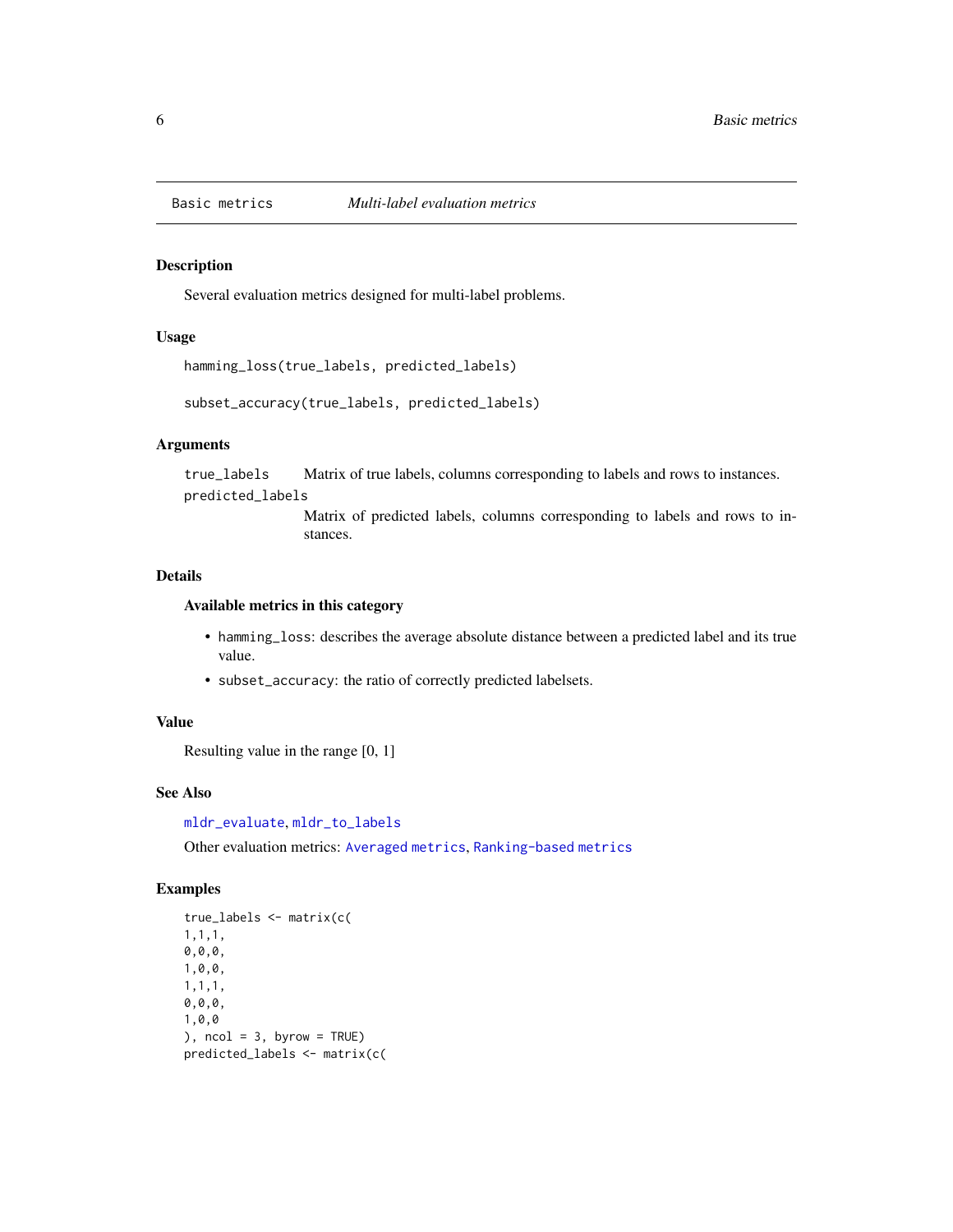<span id="page-5-1"></span><span id="page-5-0"></span>

#### Description

Several evaluation metrics designed for multi-label problems.

#### Usage

```
hamming_loss(true_labels, predicted_labels)
```
subset\_accuracy(true\_labels, predicted\_labels)

# Arguments

true\_labels Matrix of true labels, columns corresponding to labels and rows to instances.

predicted\_labels

Matrix of predicted labels, columns corresponding to labels and rows to instances.

#### Details

#### Available metrics in this category

- hamming\_loss: describes the average absolute distance between a predicted label and its true value.
- subset\_accuracy: the ratio of correctly predicted labelsets.

#### Value

Resulting value in the range [0, 1]

#### See Also

[mldr\\_evaluate](#page-12-1), [mldr\\_to\\_labels](#page-15-1)

Other evaluation metrics: [Averaged metrics](#page-2-1), [Ranking-based metrics](#page-18-1)

# Examples

```
true_labels <- matrix(c(
1,1,1,
0,0,0,
1,0,0,
1,1,1,
0,0,0,
1,0,0
), ncol = 3, byrow = TRUE)
predicted_labels <- matrix(c(
```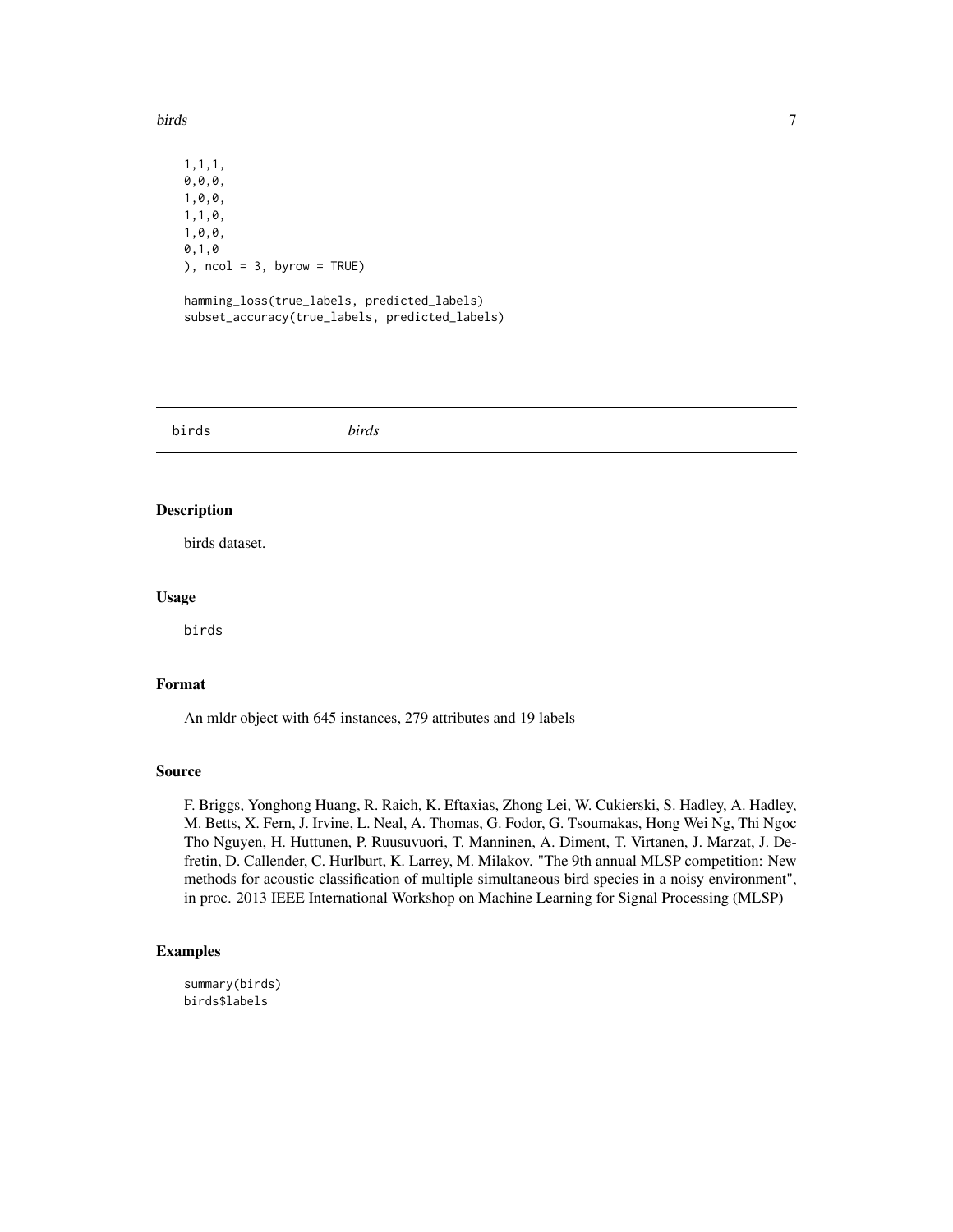#### <span id="page-6-0"></span>birds **7**

1,1,1, 0,0,0, 1,0,0, 1,1,0, 1,0,0, 0,1,0 ),  $ncol = 3$ ,  $byrow = TRUE$ ) hamming\_loss(true\_labels, predicted\_labels)

subset\_accuracy(true\_labels, predicted\_labels)

birds *birds*

# Description

birds dataset.

# Usage

birds

# Format

An mldr object with 645 instances, 279 attributes and 19 labels

#### Source

F. Briggs, Yonghong Huang, R. Raich, K. Eftaxias, Zhong Lei, W. Cukierski, S. Hadley, A. Hadley, M. Betts, X. Fern, J. Irvine, L. Neal, A. Thomas, G. Fodor, G. Tsoumakas, Hong Wei Ng, Thi Ngoc Tho Nguyen, H. Huttunen, P. Ruusuvuori, T. Manninen, A. Diment, T. Virtanen, J. Marzat, J. Defretin, D. Callender, C. Hurlburt, K. Larrey, M. Milakov. "The 9th annual MLSP competition: New methods for acoustic classification of multiple simultaneous bird species in a noisy environment", in proc. 2013 IEEE International Workshop on Machine Learning for Signal Processing (MLSP)

## Examples

summary(birds) birds\$labels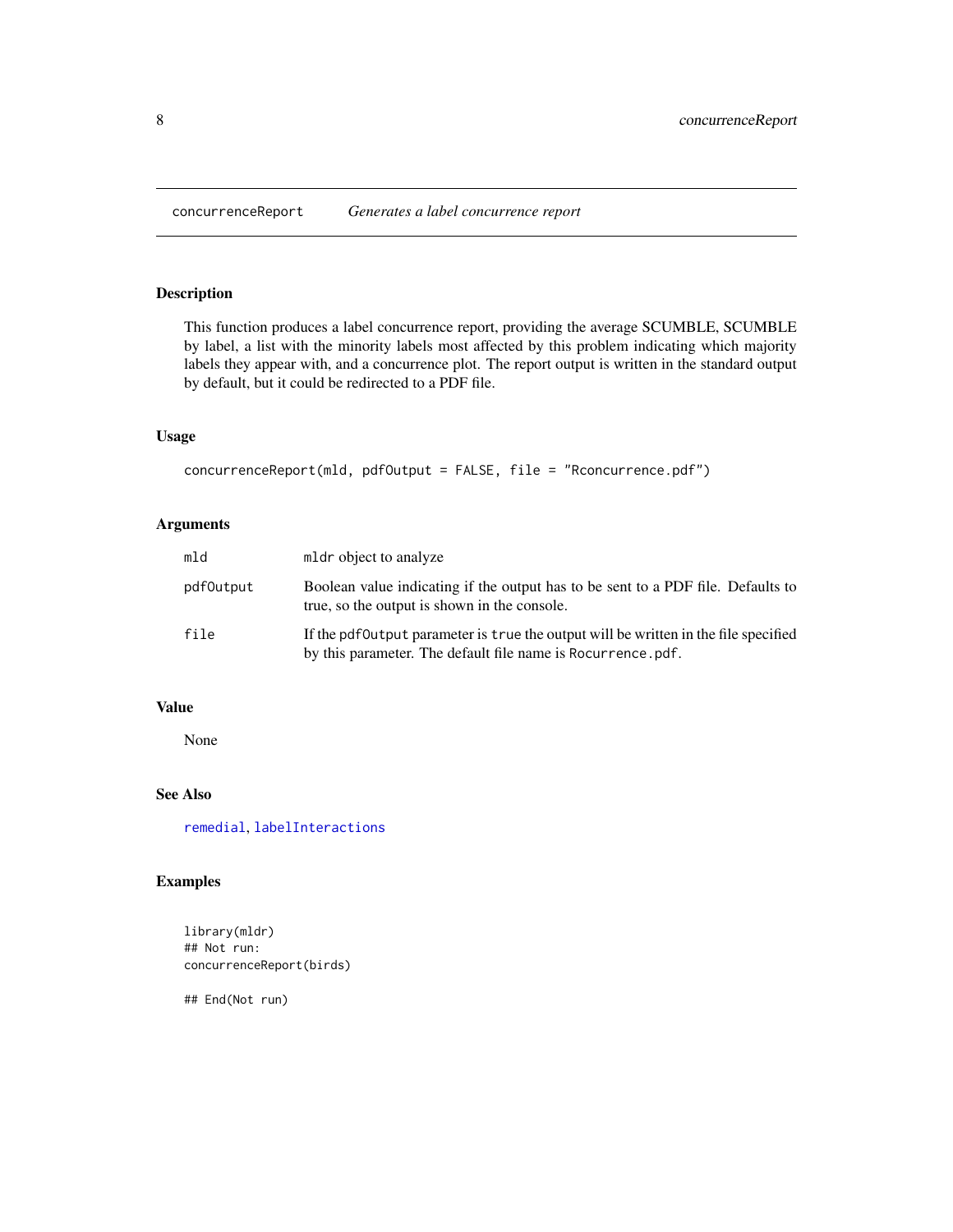<span id="page-7-1"></span><span id="page-7-0"></span>concurrenceReport *Generates a label concurrence report*

# Description

This function produces a label concurrence report, providing the average SCUMBLE, SCUMBLE by label, a list with the minority labels most affected by this problem indicating which majority labels they appear with, and a concurrence plot. The report output is written in the standard output by default, but it could be redirected to a PDF file.

# Usage

```
concurrenceReport(mld, pdfOutput = FALSE, file = "Rconcurrence.pdf")
```
# Arguments

| mld       | mldr object to analyze                                                                                                                              |
|-----------|-----------------------------------------------------------------------------------------------------------------------------------------------------|
| pdf0utput | Boolean value indicating if the output has to be sent to a PDF file. Defaults to<br>true, so the output is shown in the console.                    |
| file      | If the pdf0utput parameter is true the output will be written in the file specified<br>by this parameter. The default file name is Rocurrence, pdf. |

# Value

None

# See Also

[remedial](#page-21-1), [labelInteractions](#page-9-1)

# Examples

library(mldr) ## Not run: concurrenceReport(birds)

## End(Not run)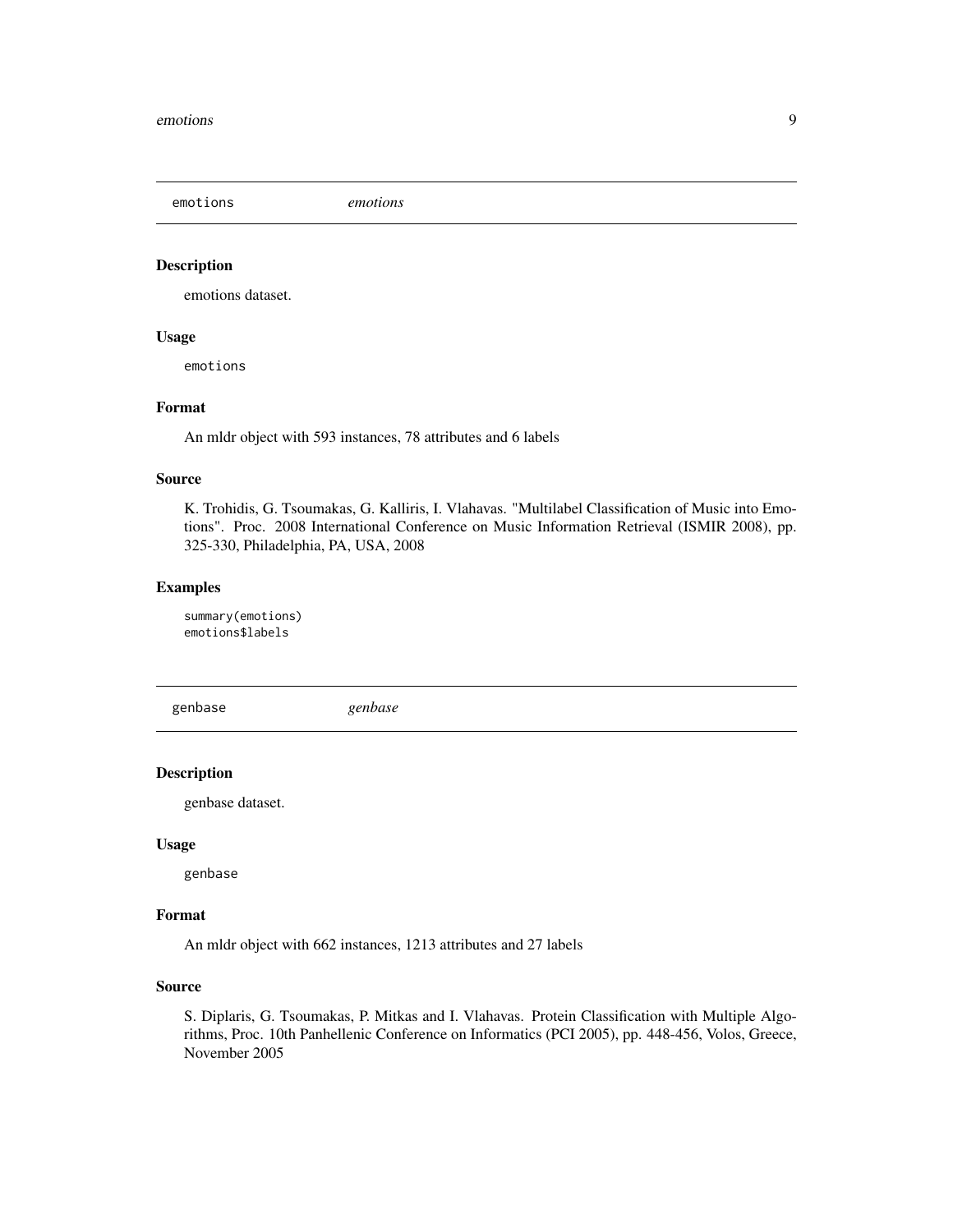<span id="page-8-0"></span>emotions *emotions*

# Description

emotions dataset.

#### Usage

emotions

# Format

An mldr object with 593 instances, 78 attributes and 6 labels

#### Source

K. Trohidis, G. Tsoumakas, G. Kalliris, I. Vlahavas. "Multilabel Classification of Music into Emotions". Proc. 2008 International Conference on Music Information Retrieval (ISMIR 2008), pp. 325-330, Philadelphia, PA, USA, 2008

#### Examples

summary(emotions) emotions\$labels

genbase *genbase*

#### Description

genbase dataset.

#### Usage

genbase

# Format

An mldr object with 662 instances, 1213 attributes and 27 labels

# Source

S. Diplaris, G. Tsoumakas, P. Mitkas and I. Vlahavas. Protein Classification with Multiple Algorithms, Proc. 10th Panhellenic Conference on Informatics (PCI 2005), pp. 448-456, Volos, Greece, November 2005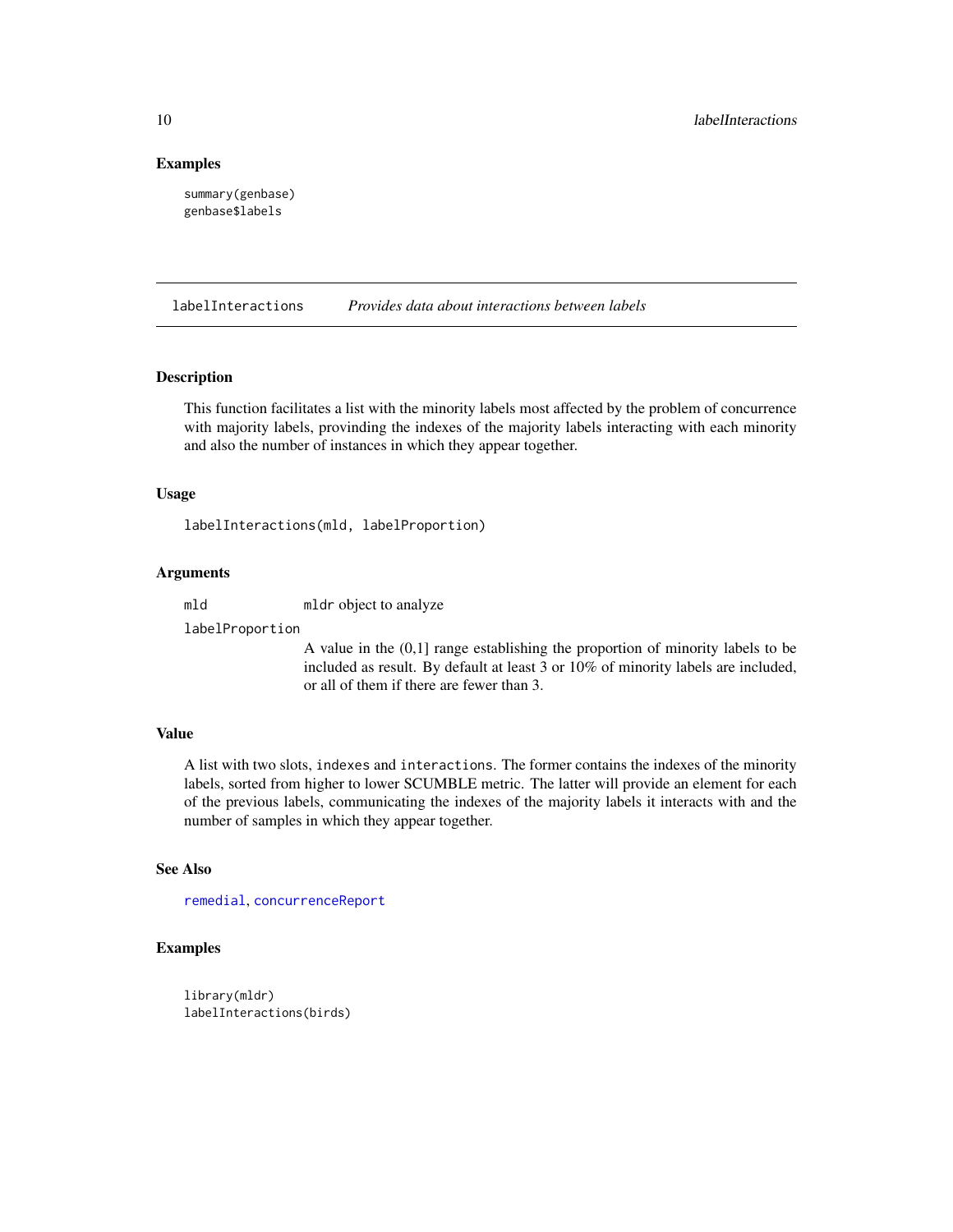#### Examples

summary(genbase) genbase\$labels

<span id="page-9-1"></span>labelInteractions *Provides data about interactions between labels*

# Description

This function facilitates a list with the minority labels most affected by the problem of concurrence with majority labels, provinding the indexes of the majority labels interacting with each minority and also the number of instances in which they appear together.

#### Usage

labelInteractions(mld, labelProportion)

#### Arguments

mld mldr object to analyze

labelProportion

A value in the (0,1] range establishing the proportion of minority labels to be included as result. By default at least 3 or 10% of minority labels are included, or all of them if there are fewer than 3.

# Value

A list with two slots, indexes and interactions. The former contains the indexes of the minority labels, sorted from higher to lower SCUMBLE metric. The latter will provide an element for each of the previous labels, communicating the indexes of the majority labels it interacts with and the number of samples in which they appear together.

# See Also

[remedial](#page-21-1), [concurrenceReport](#page-7-1)

# Examples

```
library(mldr)
labelInteractions(birds)
```
<span id="page-9-0"></span>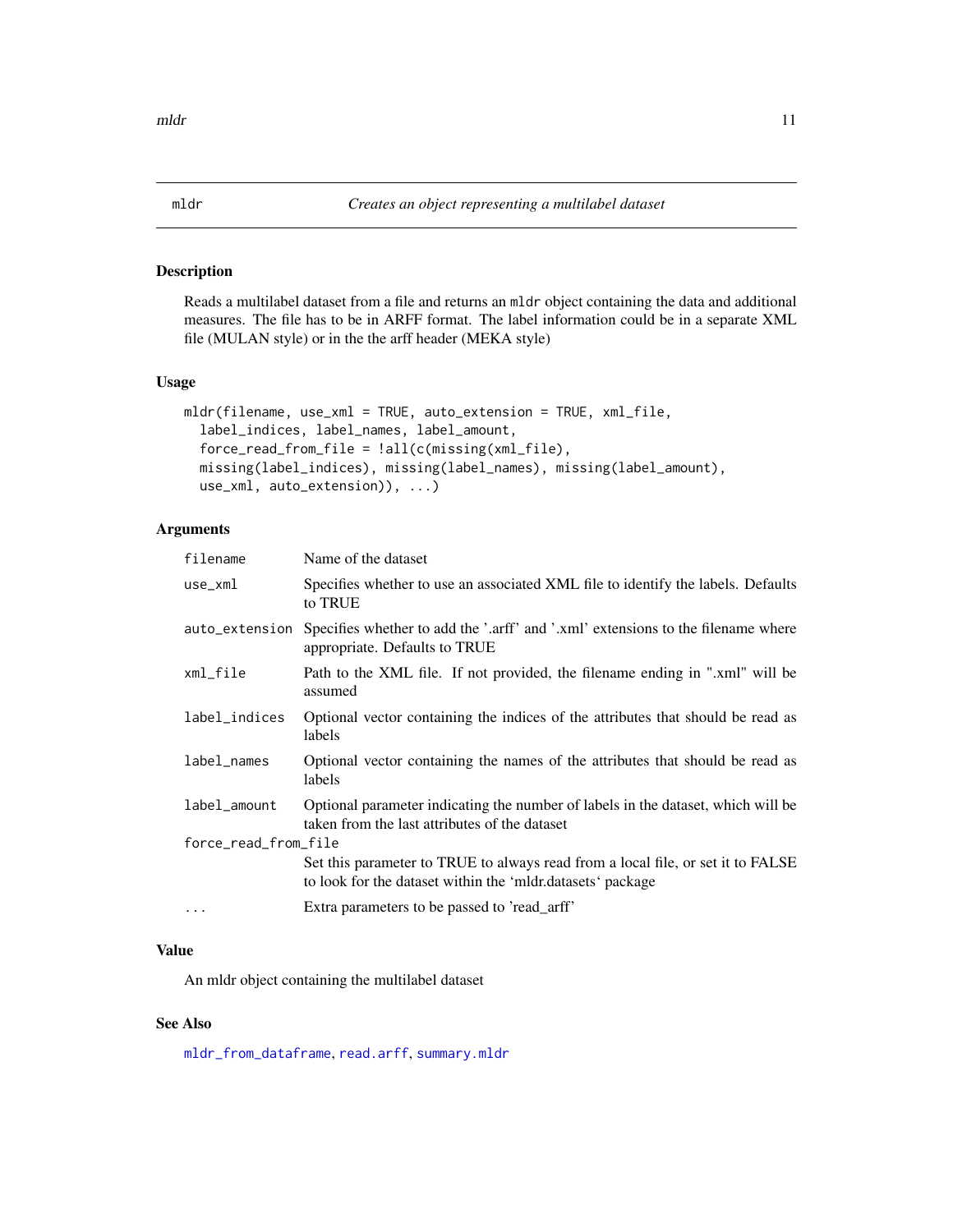#### <span id="page-10-1"></span><span id="page-10-0"></span>Description

Reads a multilabel dataset from a file and returns an mldr object containing the data and additional measures. The file has to be in ARFF format. The label information could be in a separate XML file (MULAN style) or in the the arff header (MEKA style)

#### Usage

```
mldr(filename, use_xml = TRUE, auto_extension = TRUE, xml_file,
  label_indices, label_names, label_amount,
  force_read_from_file = !all(c(missing(xml_file),
 missing(label_indices), missing(label_names), missing(label_amount),
  use_xml, auto_extension)), ...)
```
# Arguments

| filename             | Name of the dataset                                                                                                                           |
|----------------------|-----------------------------------------------------------------------------------------------------------------------------------------------|
| $use\_xm1$           | Specifies whether to use an associated XML file to identify the labels. Defaults<br>to TRUE                                                   |
| auto_extension       | Specifies whether to add the '.arff' and '.xml' extensions to the filename where<br>appropriate. Defaults to TRUE                             |
| xml_file             | Path to the XML file. If not provided, the filename ending in ".xml" will be<br>assumed                                                       |
| label_indices        | Optional vector containing the indices of the attributes that should be read as<br>labels                                                     |
| label_names          | Optional vector containing the names of the attributes that should be read as<br>labels                                                       |
| label_amount         | Optional parameter indicating the number of labels in the dataset, which will be<br>taken from the last attributes of the dataset             |
| force_read_from_file |                                                                                                                                               |
|                      | Set this parameter to TRUE to always read from a local file, or set it to FALSE<br>to look for the dataset within the 'mldr.datasets' package |
| $\cdot$              | Extra parameters to be passed to 'read_arff'                                                                                                  |

# Value

An mldr object containing the multilabel dataset

# See Also

[mldr\\_from\\_dataframe](#page-14-1), [read.arff](#page-20-1), [summary.mldr](#page-23-1)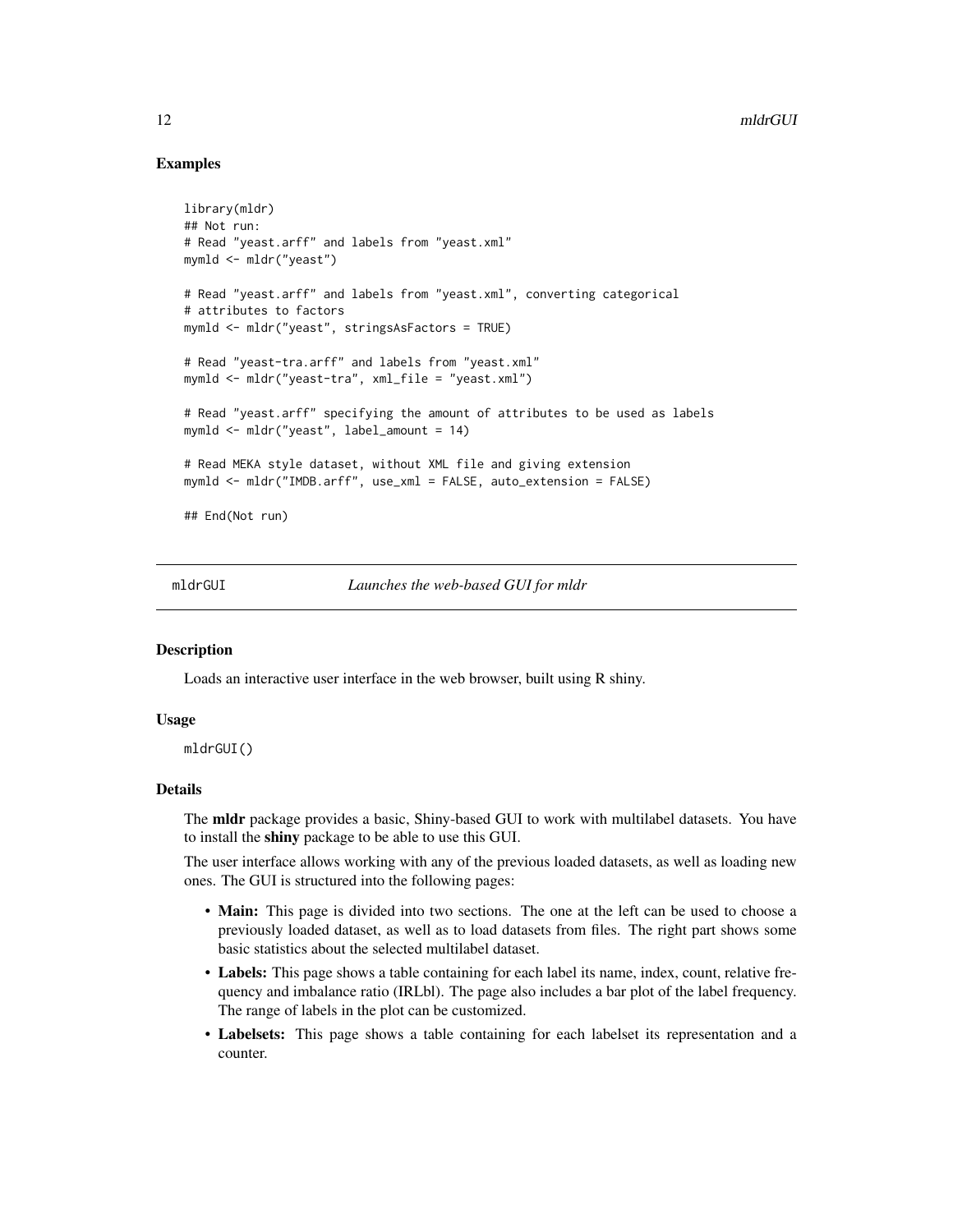# Examples

```
library(mldr)
## Not run:
# Read "yeast.arff" and labels from "yeast.xml"
mymld <- mldr("yeast")
# Read "yeast.arff" and labels from "yeast.xml", converting categorical
# attributes to factors
mymld <- mldr("yeast", stringsAsFactors = TRUE)
# Read "yeast-tra.arff" and labels from "yeast.xml"
mymld <- mldr("yeast-tra", xml_file = "yeast.xml")
# Read "yeast.arff" specifying the amount of attributes to be used as labels
mymld <- mldr("yeast", label_amount = 14)
# Read MEKA style dataset, without XML file and giving extension
mymld <- mldr("IMDB.arff", use_xml = FALSE, auto_extension = FALSE)
## End(Not run)
```
mldrGUI *Launches the web-based GUI for mldr*

#### **Description**

Loads an interactive user interface in the web browser, built using R shiny.

#### Usage

mldrGUI()

#### Details

The mldr package provides a basic, Shiny-based GUI to work with multilabel datasets. You have to install the shiny package to be able to use this GUI.

The user interface allows working with any of the previous loaded datasets, as well as loading new ones. The GUI is structured into the following pages:

- Main: This page is divided into two sections. The one at the left can be used to choose a previously loaded dataset, as well as to load datasets from files. The right part shows some basic statistics about the selected multilabel dataset.
- Labels: This page shows a table containing for each label its name, index, count, relative frequency and imbalance ratio (IRLbl). The page also includes a bar plot of the label frequency. The range of labels in the plot can be customized.
- Labelsets: This page shows a table containing for each labelset its representation and a counter.

<span id="page-11-0"></span>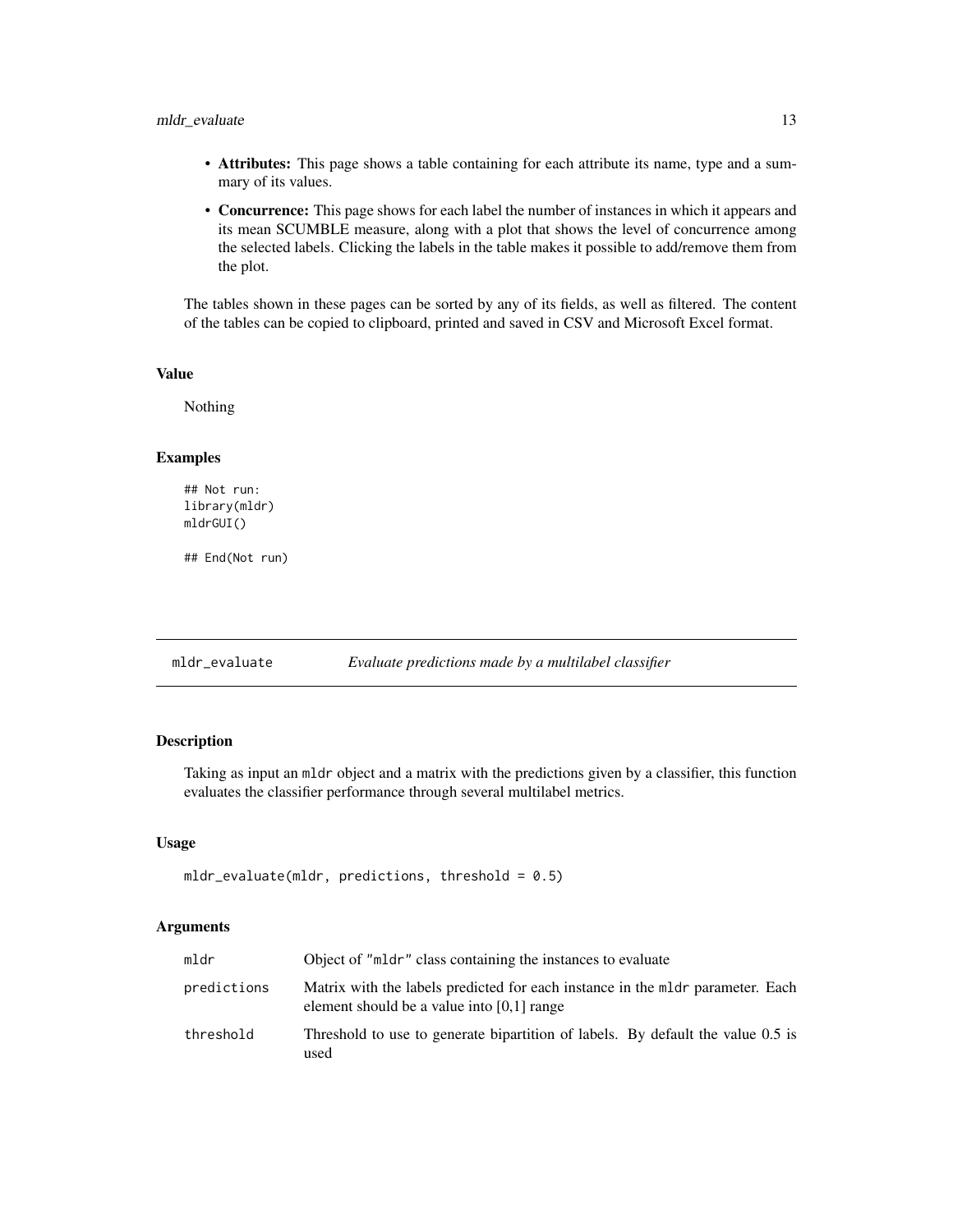# <span id="page-12-0"></span>mldr\_evaluate 13

- Attributes: This page shows a table containing for each attribute its name, type and a summary of its values.
- Concurrence: This page shows for each label the number of instances in which it appears and its mean SCUMBLE measure, along with a plot that shows the level of concurrence among the selected labels. Clicking the labels in the table makes it possible to add/remove them from the plot.

The tables shown in these pages can be sorted by any of its fields, as well as filtered. The content of the tables can be copied to clipboard, printed and saved in CSV and Microsoft Excel format.

#### Value

Nothing

#### Examples

```
## Not run:
library(mldr)
mldrGUI()
```
## End(Not run)

<span id="page-12-1"></span>mldr\_evaluate *Evaluate predictions made by a multilabel classifier*

# Description

Taking as input an mldr object and a matrix with the predictions given by a classifier, this function evaluates the classifier performance through several multilabel metrics.

#### Usage

```
mldr<sub>evaluate(mldr, predictions, threshold = 0.5)</sub>
```

| mldr        | Object of "mldr" class containing the instances to evaluate                                                                    |
|-------------|--------------------------------------------------------------------------------------------------------------------------------|
| predictions | Matrix with the labels predicted for each instance in the mldr parameter. Each<br>element should be a value into $[0,1]$ range |
| threshold   | Threshold to use to generate bipartition of labels. By default the value 0.5 is<br>used                                        |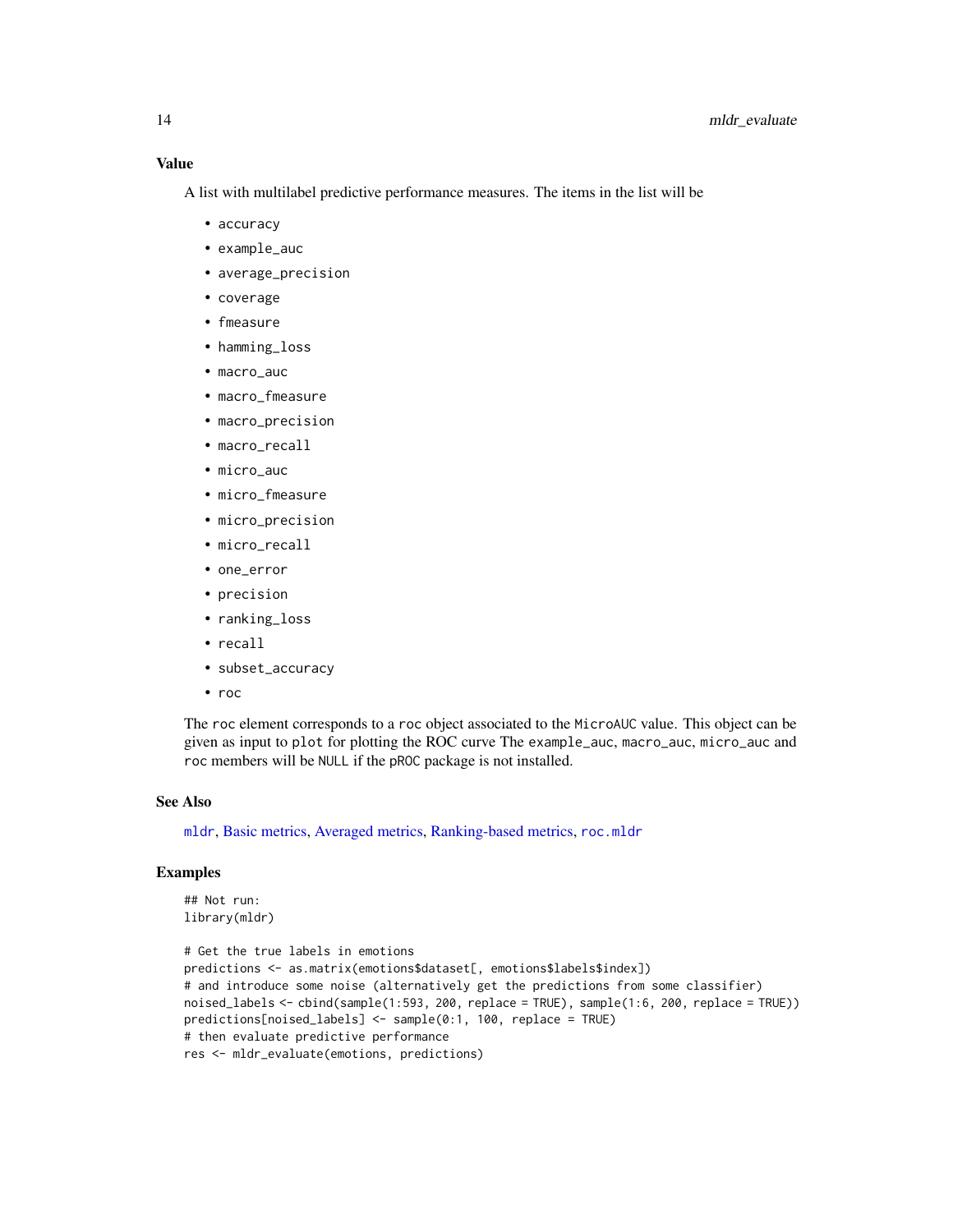<span id="page-13-0"></span>A list with multilabel predictive performance measures. The items in the list will be

- accuracy
- example\_auc
- average\_precision
- coverage
- fmeasure
- hamming\_loss
- macro\_auc
- macro\_fmeasure
- macro\_precision
- macro\_recall
- micro\_auc
- micro\_fmeasure
- micro\_precision
- micro\_recall
- one\_error
- precision
- ranking\_loss
- recall
- subset\_accuracy
- roc

The roc element corresponds to a roc object associated to the MicroAUC value. This object can be given as input to plot for plotting the ROC curve The example\_auc, macro\_auc, micro\_auc and roc members will be NULL if the pROC package is not installed.

# See Also

[mldr](#page-10-1), [Basic metrics,](#page-5-1) [Averaged metrics,](#page-2-1) [Ranking-based metrics,](#page-18-1) [roc.mldr](#page-22-1)

# Examples

```
## Not run:
library(mldr)
```

```
# Get the true labels in emotions
predictions <- as.matrix(emotions$dataset[, emotions$labels$index])
# and introduce some noise (alternatively get the predictions from some classifier)
noised_labels <- cbind(sample(1:593, 200, replace = TRUE), sample(1:6, 200, replace = TRUE))
predictions[noised_labels] <- sample(0:1, 100, replace = TRUE)
# then evaluate predictive performance
res <- mldr_evaluate(emotions, predictions)
```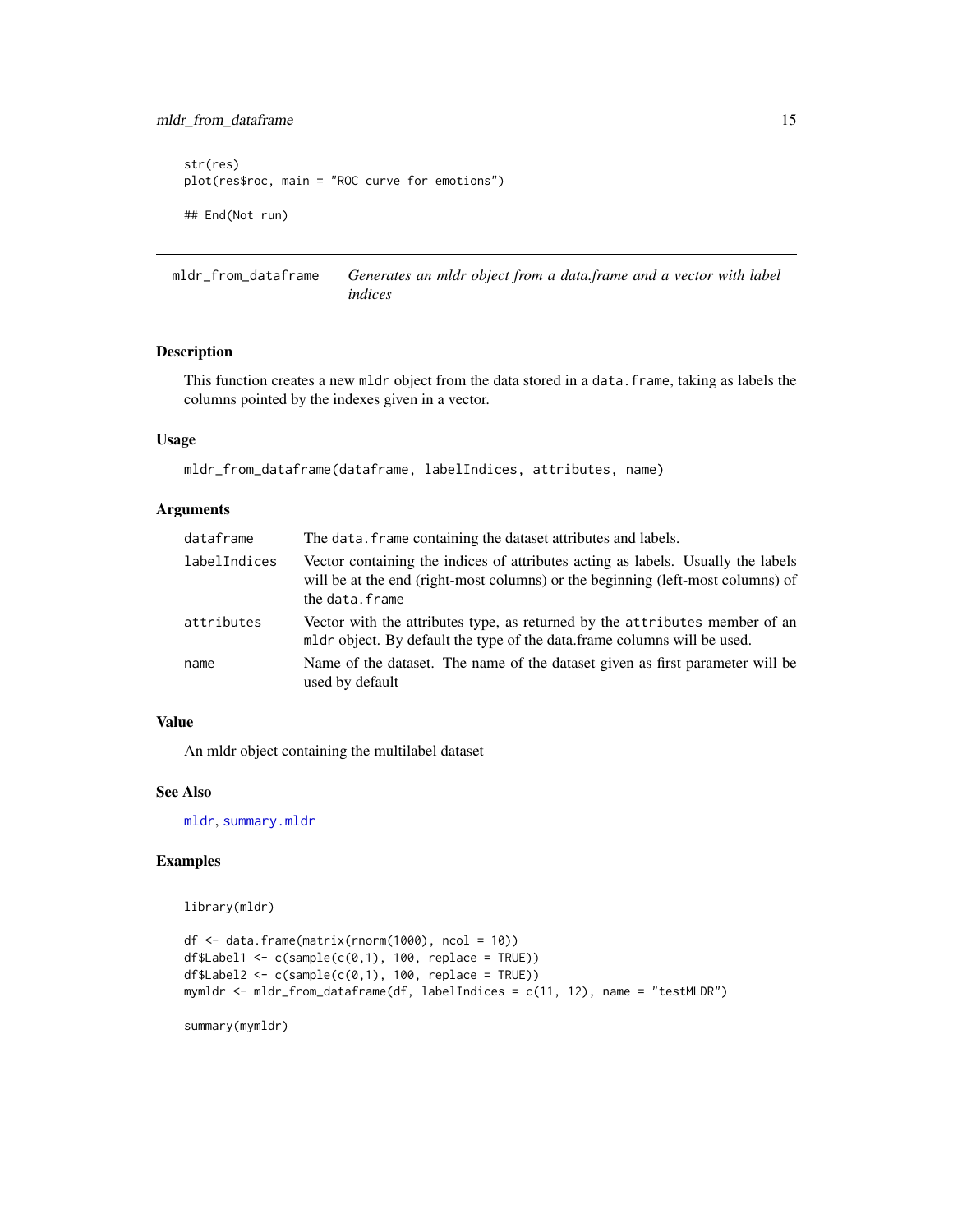# <span id="page-14-0"></span>mldr\_from\_dataframe 15

```
str(res)
plot(res$roc, main = "ROC curve for emotions")
## End(Not run)
```
<span id="page-14-1"></span>mldr\_from\_dataframe *Generates an mldr object from a data.frame and a vector with label indices*

# Description

This function creates a new mldr object from the data stored in a data.frame, taking as labels the columns pointed by the indexes given in a vector.

#### Usage

```
mldr_from_dataframe(dataframe, labelIndices, attributes, name)
```
#### Arguments

| dataframe    | The data. frame containing the dataset attributes and labels.                                                                                                                         |
|--------------|---------------------------------------------------------------------------------------------------------------------------------------------------------------------------------------|
| labelIndices | Vector containing the indices of attributes acting as labels. Usually the labels<br>will be at the end (right-most columns) or the beginning (left-most columns) of<br>the data.frame |
| attributes   | Vector with the attributes type, as returned by the attributes member of an<br>mldr object. By default the type of the data.frame columns will be used.                               |
| name         | Name of the dataset. The name of the dataset given as first parameter will be<br>used by default                                                                                      |

## Value

An mldr object containing the multilabel dataset

#### See Also

[mldr](#page-10-1), [summary.mldr](#page-23-1)

#### Examples

library(mldr)

```
df <- data.frame(matrix(rnorm(1000), ncol = 10))
df$Label1 <- c(sample(c(0,1), 100, replace = TRUE))
df$Label2 <- c(sample(c(\emptyset,1), 100, replace = TRUE))mymldr <- mldr_from_dataframe(df, labelIndices = c(11, 12), name = "testMLDR")
```
summary(mymldr)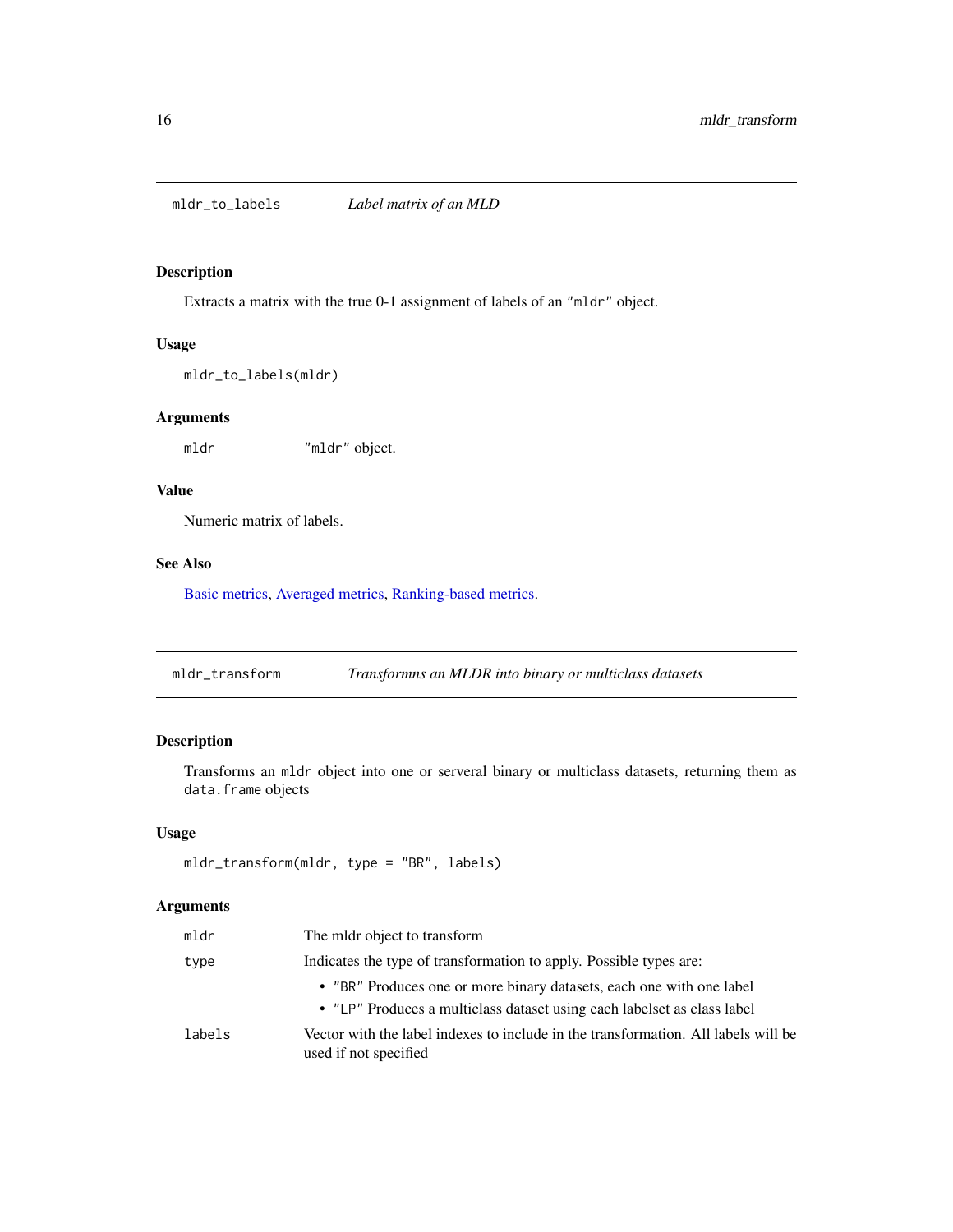<span id="page-15-1"></span><span id="page-15-0"></span>mldr\_to\_labels *Label matrix of an MLD*

# Description

Extracts a matrix with the true 0-1 assignment of labels of an "mldr" object.

# Usage

mldr\_to\_labels(mldr)

# Arguments

mldr "mldr" object.

Numeric matrix of labels.

# See Also

Value

[Basic metrics,](#page-5-1) [Averaged metrics,](#page-2-1) [Ranking-based metrics.](#page-18-1)

mldr\_transform *Transformns an MLDR into binary or multiclass datasets*

# Description

Transforms an mldr object into one or serveral binary or multiclass datasets, returning them as data.frame objects

#### Usage

```
mldr_transform(mldr, type = "BR", labels)
```

| mldr   | The mldr object to transform                                                                                |
|--------|-------------------------------------------------------------------------------------------------------------|
| type   | Indicates the type of transformation to apply. Possible types are:                                          |
|        | • "BR" Produces one or more binary datasets, each one with one label                                        |
|        | • "LP" Produces a multiclass dataset using each labelset as class label                                     |
| labels | Vector with the label indexes to include in the transformation. All labels will be<br>used if not specified |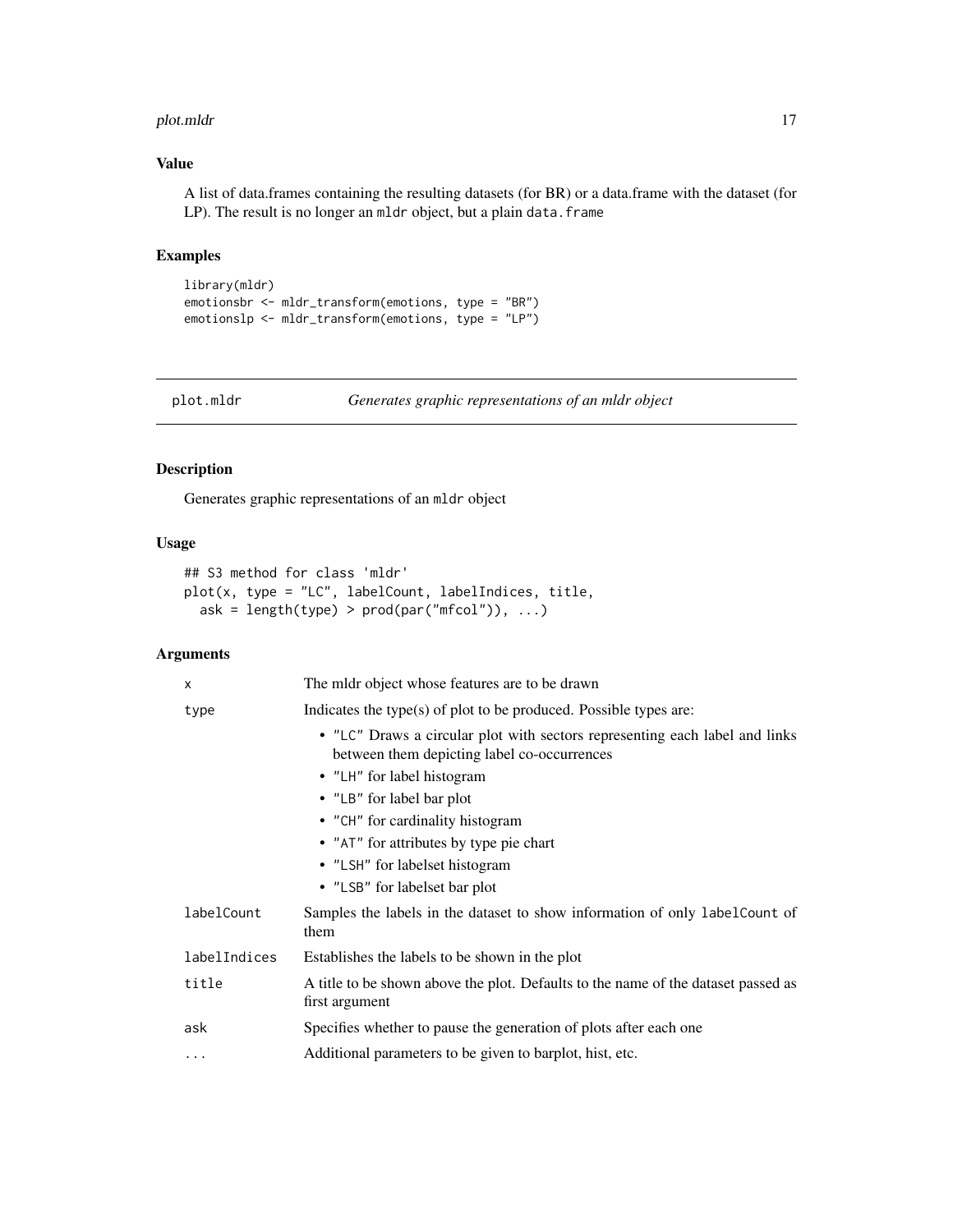#### <span id="page-16-0"></span>plot.mldr that the contract of the contract of the contract of the contract of the contract of the contract of the contract of the contract of the contract of the contract of the contract of the contract of the contract of

# Value

A list of data.frames containing the resulting datasets (for BR) or a data.frame with the dataset (for LP). The result is no longer an mldr object, but a plain data. frame

# Examples

```
library(mldr)
emotionsbr <- mldr_transform(emotions, type = "BR")
emotionslp <- mldr_transform(emotions, type = "LP")
```
plot.mldr *Generates graphic representations of an mldr object*

# Description

Generates graphic representations of an mldr object

# Usage

```
## S3 method for class 'mldr'
plot(x, type = "LC", labelCount, labelIndices, title,
  ask = length(type) > prod(par("mfcol")), ...)
```

| $\mathsf{x}$ | The mldr object whose features are to be drawn                                                                             |  |
|--------------|----------------------------------------------------------------------------------------------------------------------------|--|
| type         | Indicates the type(s) of plot to be produced. Possible types are:                                                          |  |
|              | • "LC" Draws a circular plot with sectors representing each label and links<br>between them depicting label co-occurrences |  |
|              | • "LH" for label histogram                                                                                                 |  |
|              | • "LB" for label bar plot                                                                                                  |  |
|              | • "CH" for cardinality histogram                                                                                           |  |
|              | • "AT" for attributes by type pie chart                                                                                    |  |
|              | • "LSH" for labelset histogram                                                                                             |  |
|              | • "LSB" for labelset bar plot                                                                                              |  |
| labelCount   | Samples the labels in the dataset to show information of only labelCount of<br>them                                        |  |
| labelIndices | Establishes the labels to be shown in the plot                                                                             |  |
| title        | A title to be shown above the plot. Defaults to the name of the dataset passed as<br>first argument                        |  |
| ask          | Specifies whether to pause the generation of plots after each one                                                          |  |
| $\cdots$     | Additional parameters to be given to barplot, hist, etc.                                                                   |  |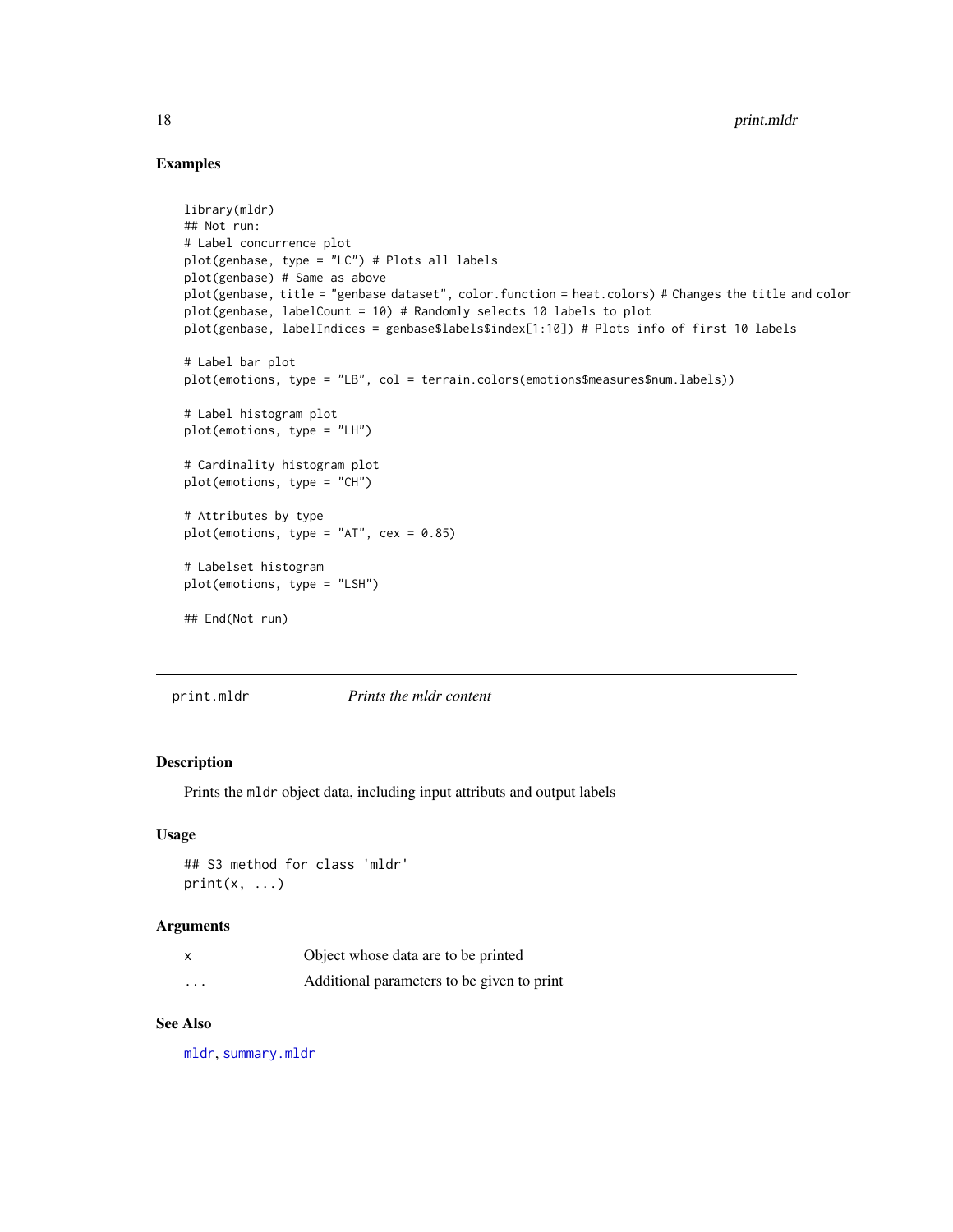# Examples

```
library(mldr)
## Not run:
# Label concurrence plot
plot(genbase, type = "LC") # Plots all labels
plot(genbase) # Same as above
plot(genbase, title = "genbase dataset", color.function = heat.colors) # Changes the title and color
plot(genbase, labelCount = 10) # Randomly selects 10 labels to plot
plot(genbase, labelIndices = genbase$labels$index[1:10]) # Plots info of first 10 labels
# Label bar plot
plot(emotions, type = "LB", col = terrain.colors(emotions$measures$num.labels))
# Label histogram plot
plot(emotions, type = "LH")
# Cardinality histogram plot
plot(emotions, type = "CH")
# Attributes by type
plot(emotions, type = "AT", cex = 0.85)
# Labelset histogram
plot(emotions, type = "LSH")
## End(Not run)
```
<span id="page-17-1"></span>print.mldr *Prints the mldr content*

# Description

Prints the mldr object data, including input attributs and output labels

# Usage

## S3 method for class 'mldr'  $print(x, \ldots)$ 

#### Arguments

|          | Object whose data are to be printed        |
|----------|--------------------------------------------|
| $\cdots$ | Additional parameters to be given to print |

# See Also

[mldr](#page-10-1), [summary.mldr](#page-23-1)

<span id="page-17-0"></span>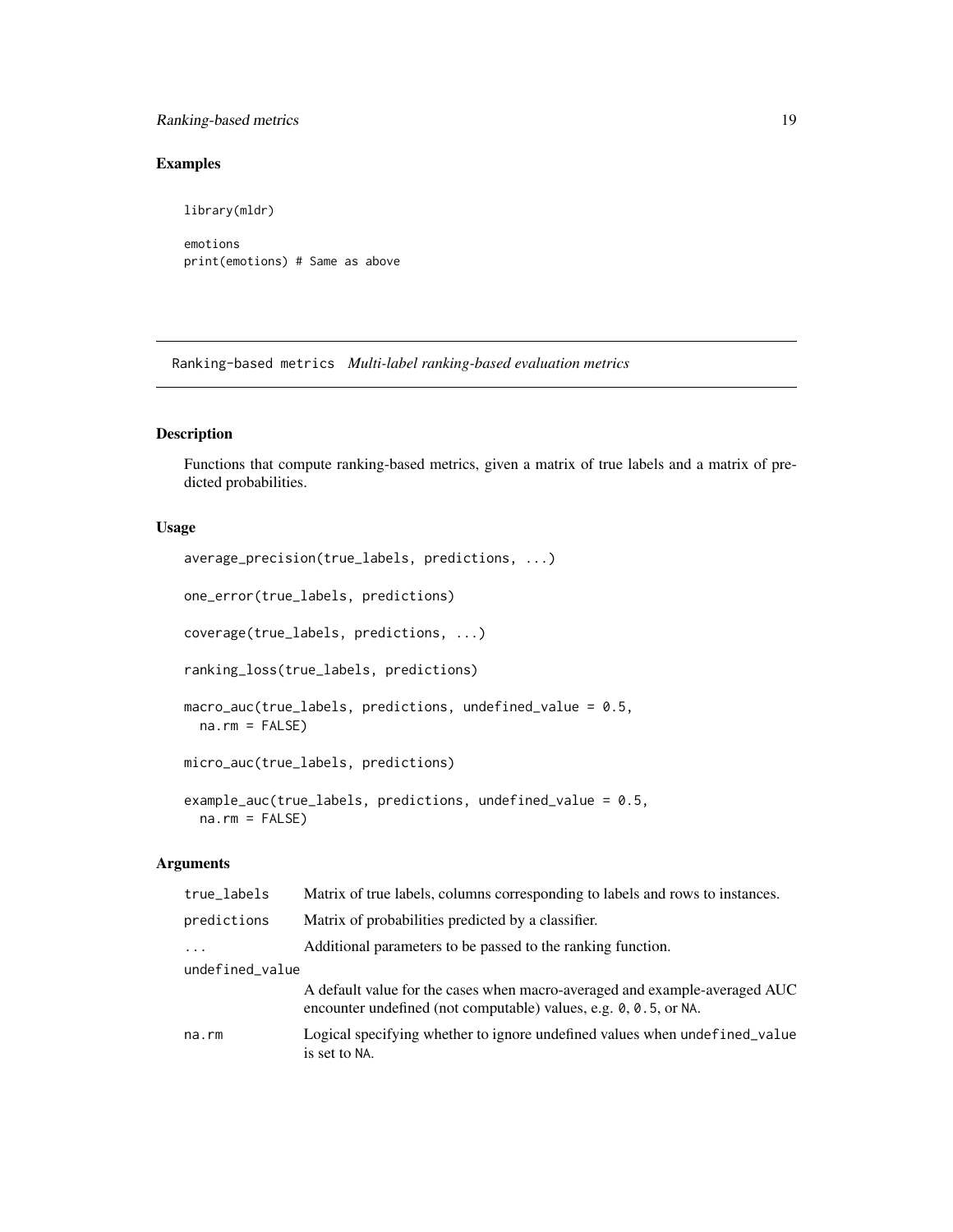# <span id="page-18-0"></span>Ranking-based metrics 19

# Examples

library(mldr) emotions print(emotions) # Same as above

<span id="page-18-1"></span>Ranking-based metrics *Multi-label ranking-based evaluation metrics*

# Description

Functions that compute ranking-based metrics, given a matrix of true labels and a matrix of predicted probabilities.

#### Usage

```
average_precision(true_labels, predictions, ...)
one_error(true_labels, predictions)
coverage(true_labels, predictions, ...)
ranking_loss(true_labels, predictions)
macro_auc(true_labels, predictions, undefined_value = 0.5,
 na.rm = FALSE)
micro_auc(true_labels, predictions)
example_auc(true_labels, predictions, undefined_value = 0.5,
 na.rm = FALSE)
```

| true_labels     | Matrix of true labels, columns corresponding to labels and rows to instances.                                                                  |  |
|-----------------|------------------------------------------------------------------------------------------------------------------------------------------------|--|
| predictions     | Matrix of probabilities predicted by a classifier.                                                                                             |  |
| .               | Additional parameters to be passed to the ranking function.                                                                                    |  |
| undefined_value |                                                                                                                                                |  |
|                 | A default value for the cases when macro-averaged and example-averaged AUC<br>encounter undefined (not computable) values, e.g. 0, 0.5, or NA. |  |
| na.rm           | Logical specifying whether to ignore undefined values when undefined_value<br>is set to NA.                                                    |  |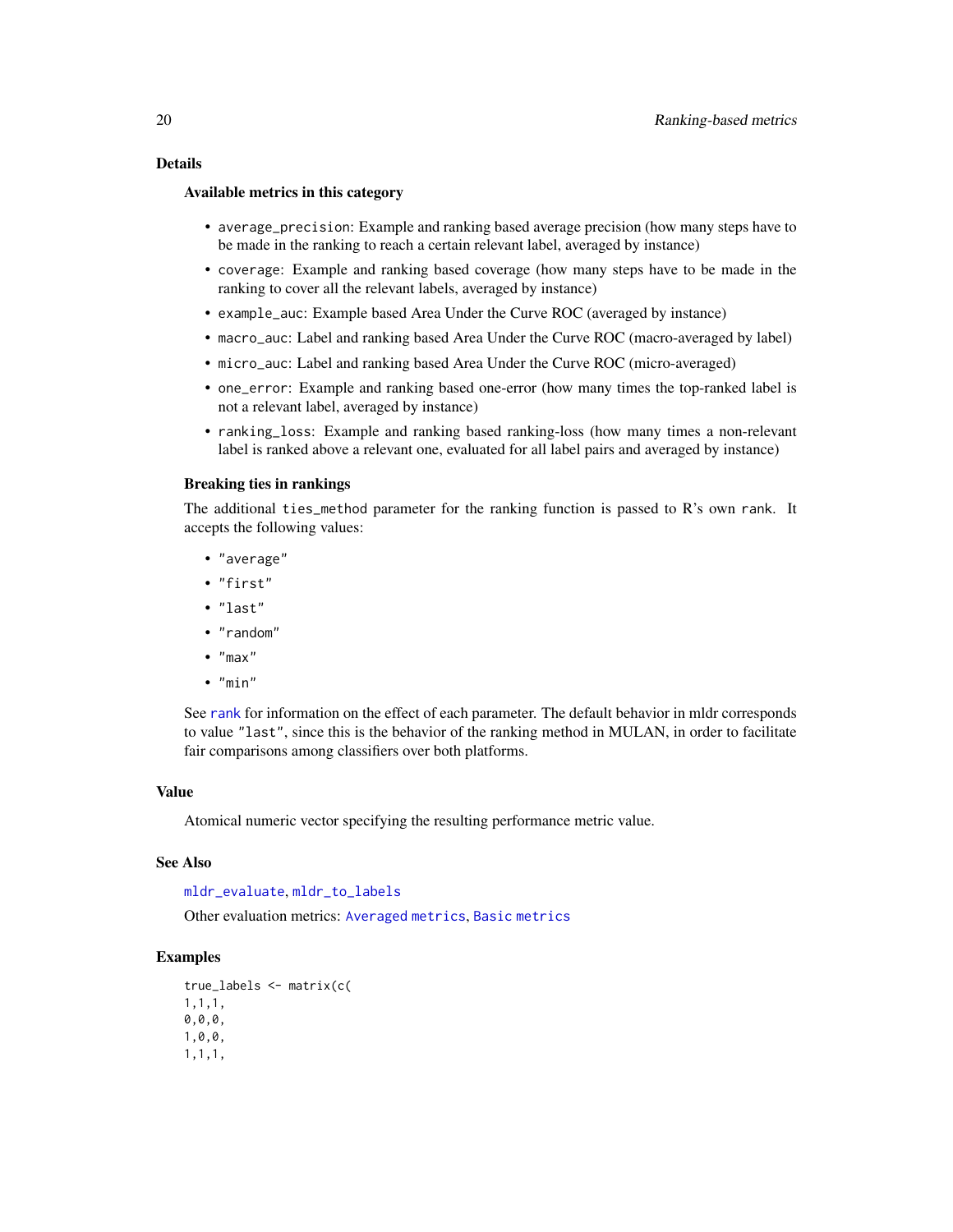#### <span id="page-19-0"></span>Details

#### Available metrics in this category

- average\_precision: Example and ranking based average precision (how many steps have to be made in the ranking to reach a certain relevant label, averaged by instance)
- coverage: Example and ranking based coverage (how many steps have to be made in the ranking to cover all the relevant labels, averaged by instance)
- example\_auc: Example based Area Under the Curve ROC (averaged by instance)
- macro\_auc: Label and ranking based Area Under the Curve ROC (macro-averaged by label)
- micro\_auc: Label and ranking based Area Under the Curve ROC (micro-averaged)
- one\_error: Example and ranking based one-error (how many times the top-ranked label is not a relevant label, averaged by instance)
- ranking\_loss: Example and ranking based ranking-loss (how many times a non-relevant label is ranked above a relevant one, evaluated for all label pairs and averaged by instance)

#### Breaking ties in rankings

The additional ties\_method parameter for the ranking function is passed to R's own rank. It accepts the following values:

- "average"
- "first"
- "last"
- "random"
- "max"
- "min"

See [rank](#page-0-0) for information on the effect of each parameter. The default behavior in mldr corresponds to value "last", since this is the behavior of the ranking method in MULAN, in order to facilitate fair comparisons among classifiers over both platforms.

#### Value

Atomical numeric vector specifying the resulting performance metric value.

#### See Also

[mldr\\_evaluate](#page-12-1), [mldr\\_to\\_labels](#page-15-1)

Other evaluation metrics: [Averaged metrics](#page-2-1), [Basic metrics](#page-5-1)

# Examples

```
true_labels <- matrix(c(
1,1,1,
0,0,0,
1,0,0,
1,1,1,
```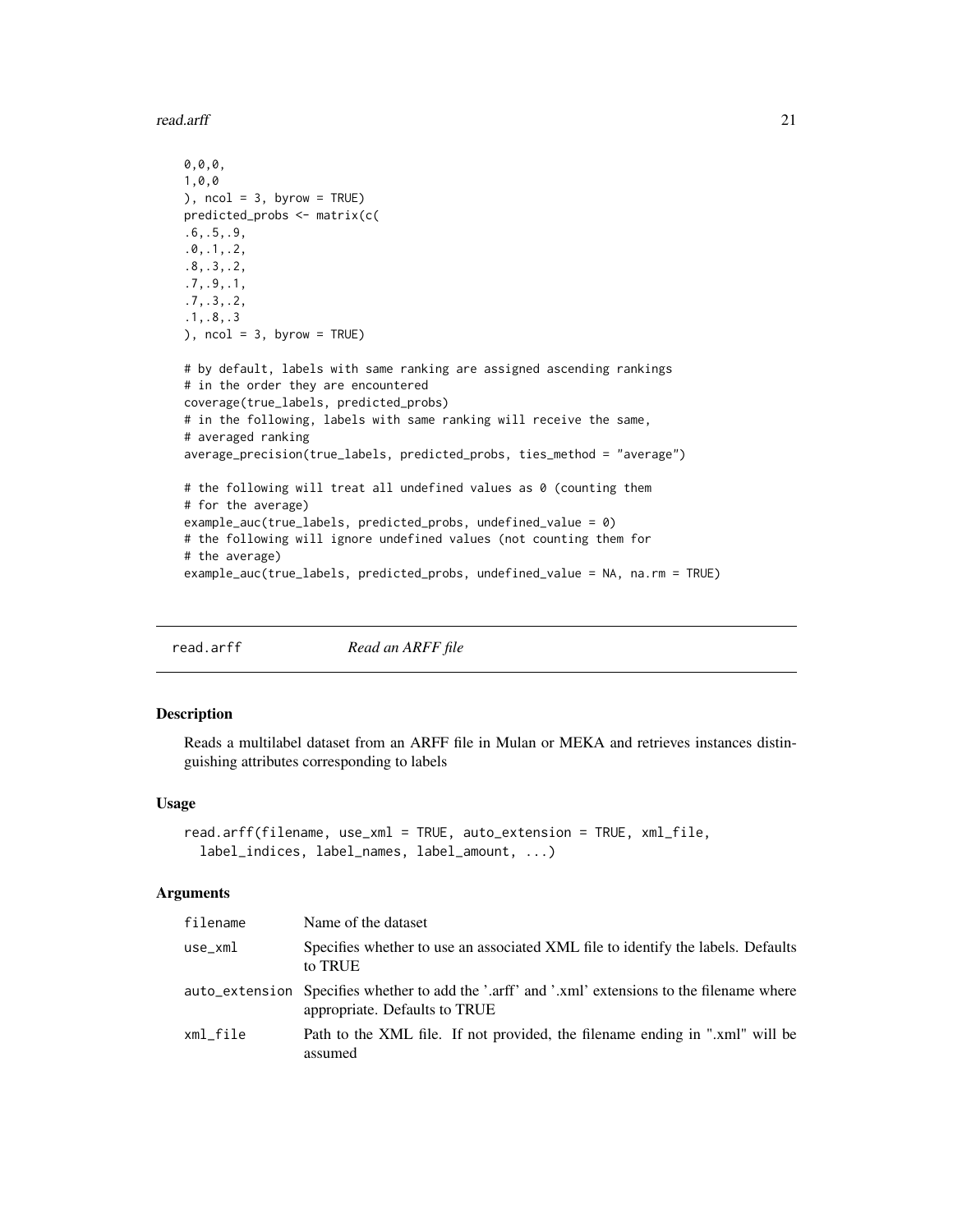<span id="page-20-0"></span>read.arff 21

```
0,0,0,
1,0,0
), ncol = 3, byrow = TRUE)
predicted_probs <- matrix(c(
.6,.5,.9,
.0,.1,.2,
.8,.3,.2,
.7,.9,.1,
.7,.3,.2,
.1,.8,.3
), ncol = 3, byrow = TRUE)
# by default, labels with same ranking are assigned ascending rankings
# in the order they are encountered
coverage(true_labels, predicted_probs)
# in the following, labels with same ranking will receive the same,
# averaged ranking
average_precision(true_labels, predicted_probs, ties_method = "average")
# the following will treat all undefined values as 0 (counting them
# for the average)
example_auc(true_labels, predicted_probs, undefined_value = 0)
# the following will ignore undefined values (not counting them for
# the average)
example_auc(true_labels, predicted_probs, undefined_value = NA, na.rm = TRUE)
```
<span id="page-20-1"></span>read.arff *Read an ARFF file*

#### Description

Reads a multilabel dataset from an ARFF file in Mulan or MEKA and retrieves instances distinguishing attributes corresponding to labels

# Usage

```
read.arff(filename, use_xml = TRUE, auto_extension = TRUE, xml_file,
  label_indices, label_names, label_amount, ...)
```

| filename | Name of the dataset                                                                                                              |
|----------|----------------------------------------------------------------------------------------------------------------------------------|
| use_xml  | Specifies whether to use an associated XML file to identify the labels. Defaults<br>to TRUE                                      |
|          | auto_extension Specifies whether to add the '.arff' and '.xml' extensions to the filename where<br>appropriate. Defaults to TRUE |
| xml file | Path to the XML file. If not provided, the filename ending in ".xml" will be<br>assumed                                          |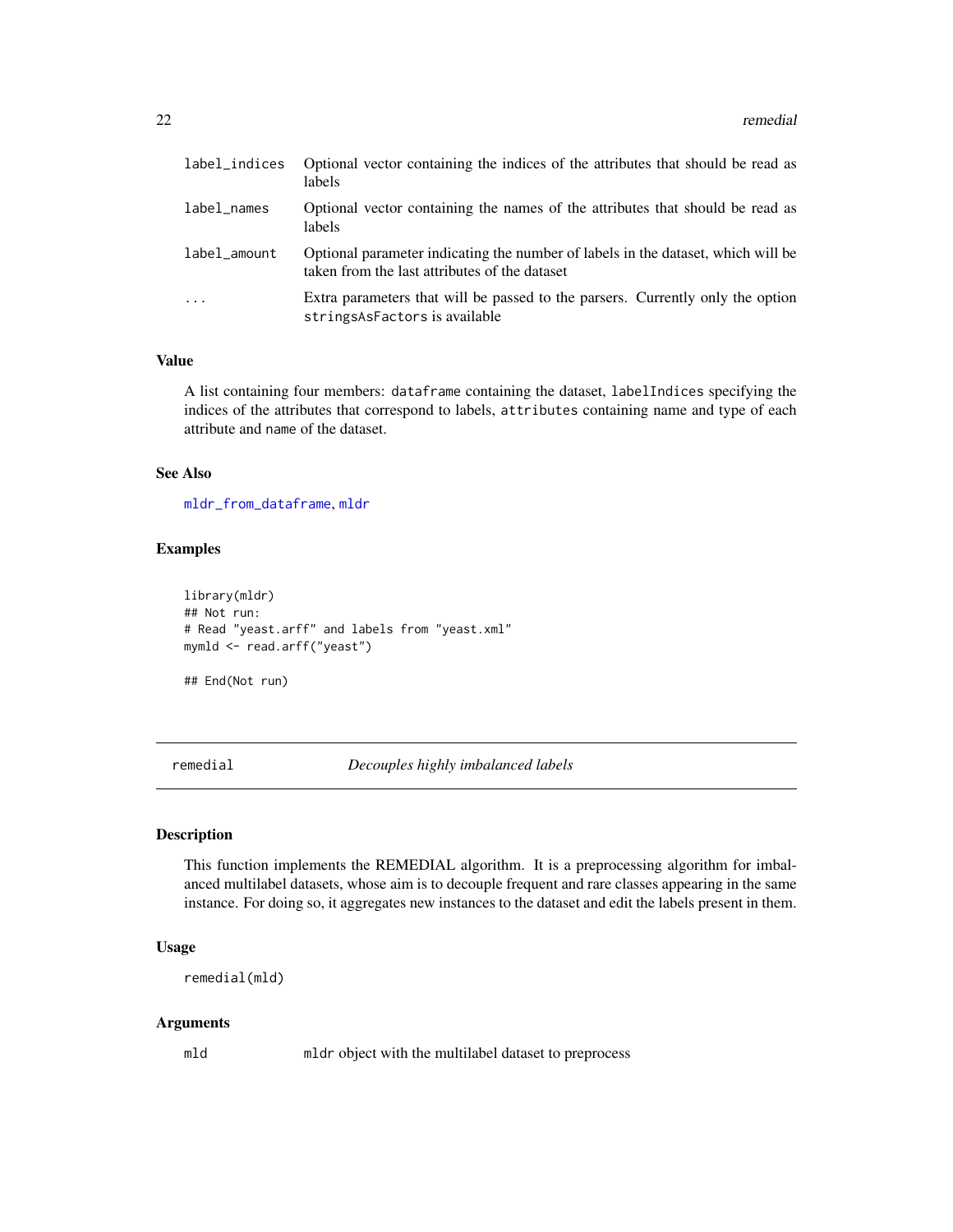<span id="page-21-0"></span>

| label_indices | Optional vector containing the indices of the attributes that should be read as<br>labels                                         |
|---------------|-----------------------------------------------------------------------------------------------------------------------------------|
| label_names   | Optional vector containing the names of the attributes that should be read as<br>labels                                           |
| label_amount  | Optional parameter indicating the number of labels in the dataset, which will be<br>taken from the last attributes of the dataset |
| $\cdot$       | Extra parameters that will be passed to the parsers. Currently only the option<br>stringsAsFactors is available                   |

# Value

A list containing four members: dataframe containing the dataset, labelIndices specifying the indices of the attributes that correspond to labels, attributes containing name and type of each attribute and name of the dataset.

# See Also

[mldr\\_from\\_dataframe](#page-14-1), [mldr](#page-10-1)

#### Examples

```
library(mldr)
## Not run:
# Read "yeast.arff" and labels from "yeast.xml"
mymld <- read.arff("yeast")
```
## End(Not run)

<span id="page-21-1"></span>remedial *Decouples highly imbalanced labels*

# Description

This function implements the REMEDIAL algorithm. It is a preprocessing algorithm for imbalanced multilabel datasets, whose aim is to decouple frequent and rare classes appearing in the same instance. For doing so, it aggregates new instances to the dataset and edit the labels present in them.

#### Usage

```
remedial(mld)
```
#### Arguments

mld mldr object with the multilabel dataset to preprocess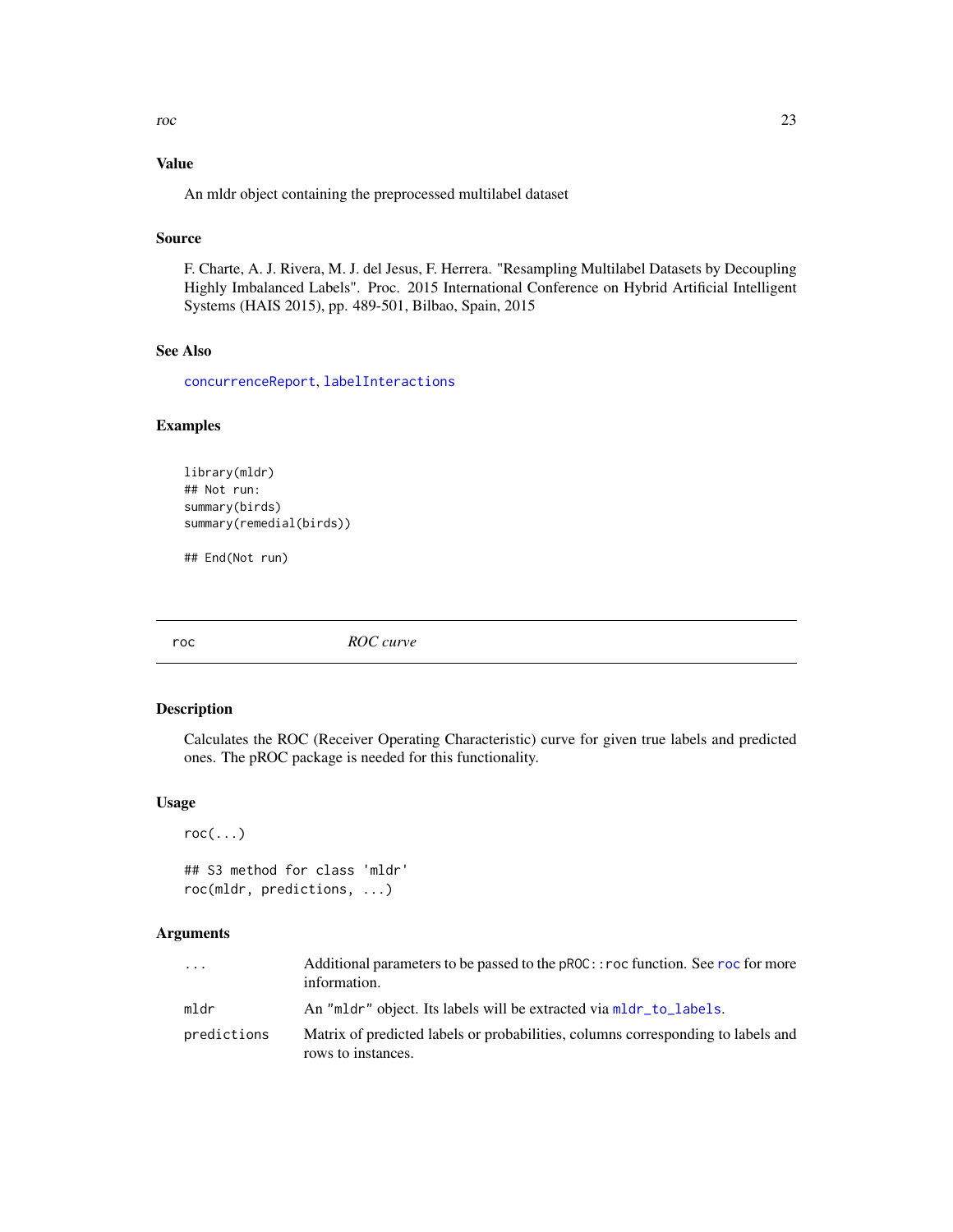# <span id="page-22-0"></span>Value

An mldr object containing the preprocessed multilabel dataset

# Source

F. Charte, A. J. Rivera, M. J. del Jesus, F. Herrera. "Resampling Multilabel Datasets by Decoupling Highly Imbalanced Labels". Proc. 2015 International Conference on Hybrid Artificial Intelligent Systems (HAIS 2015), pp. 489-501, Bilbao, Spain, 2015

# See Also

[concurrenceReport](#page-7-1), [labelInteractions](#page-9-1)

# Examples

```
library(mldr)
## Not run:
summary(birds)
summary(remedial(birds))
```
## End(Not run)

<span id="page-22-2"></span>roc *ROC curve*

# <span id="page-22-1"></span>Description

Calculates the ROC (Receiver Operating Characteristic) curve for given true labels and predicted ones. The pROC package is needed for this functionality.

# Usage

```
roc(...)
```
## S3 method for class 'mldr' roc(mldr, predictions, ...)

| .           | Additional parameters to be passed to the pROC: : roc function. See roc for more<br>information.       |
|-------------|--------------------------------------------------------------------------------------------------------|
| mldr        | An "mldr" object. Its labels will be extracted via mldr_to_labels.                                     |
| predictions | Matrix of predicted labels or probabilities, columns corresponding to labels and<br>rows to instances. |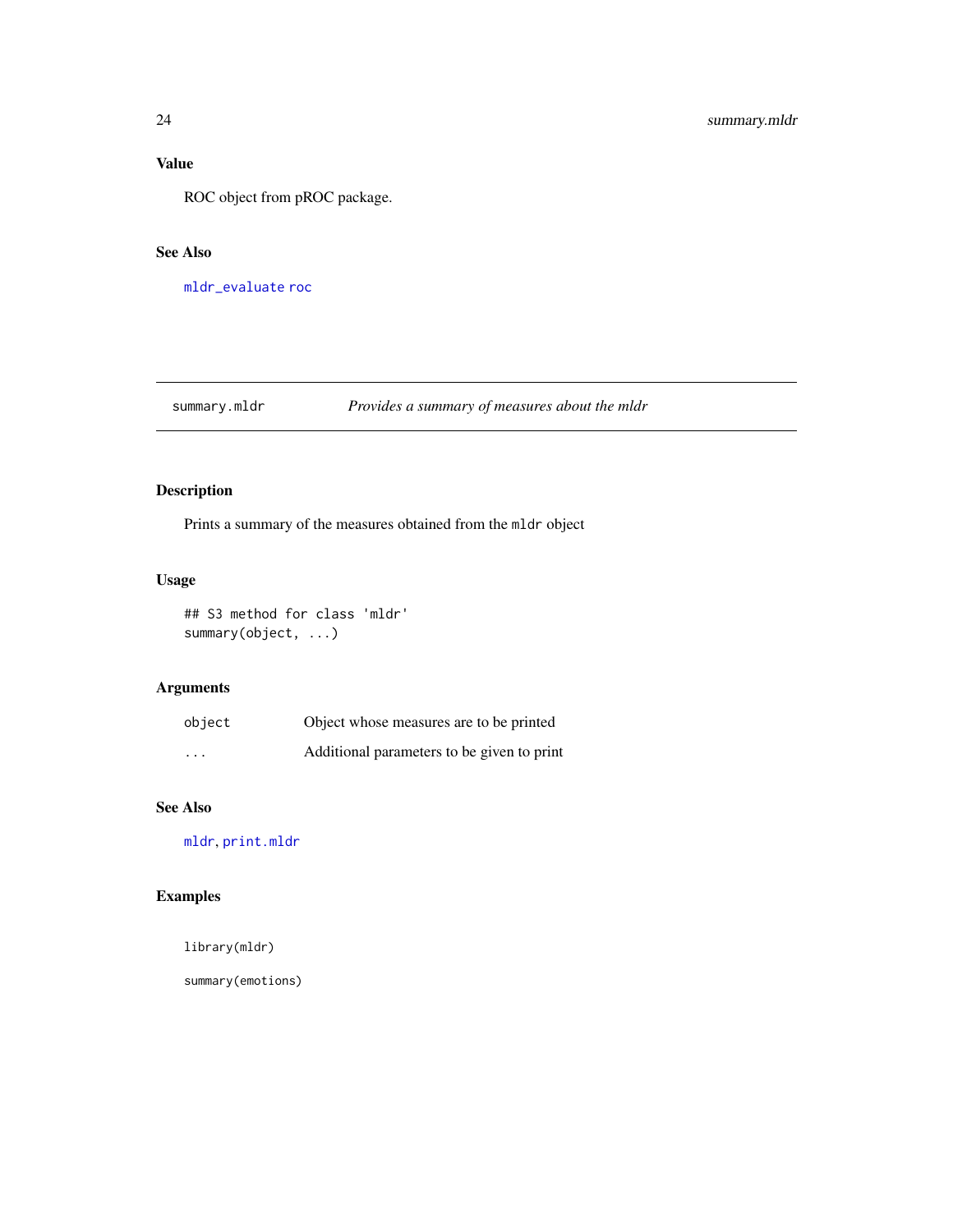# <span id="page-23-0"></span>Value

ROC object from pROC package.

# See Also

[mldr\\_evaluate](#page-12-1) [roc](#page-22-2)

# <span id="page-23-1"></span>summary.mldr *Provides a summary of measures about the mldr*

# Description

Prints a summary of the measures obtained from the mldr object

# Usage

## S3 method for class 'mldr' summary(object, ...)

# Arguments

| object                  | Object whose measures are to be printed    |  |
|-------------------------|--------------------------------------------|--|
| $\cdot$ $\cdot$ $\cdot$ | Additional parameters to be given to print |  |

# See Also

[mldr](#page-10-1), [print.mldr](#page-17-1)

# Examples

library(mldr)

summary(emotions)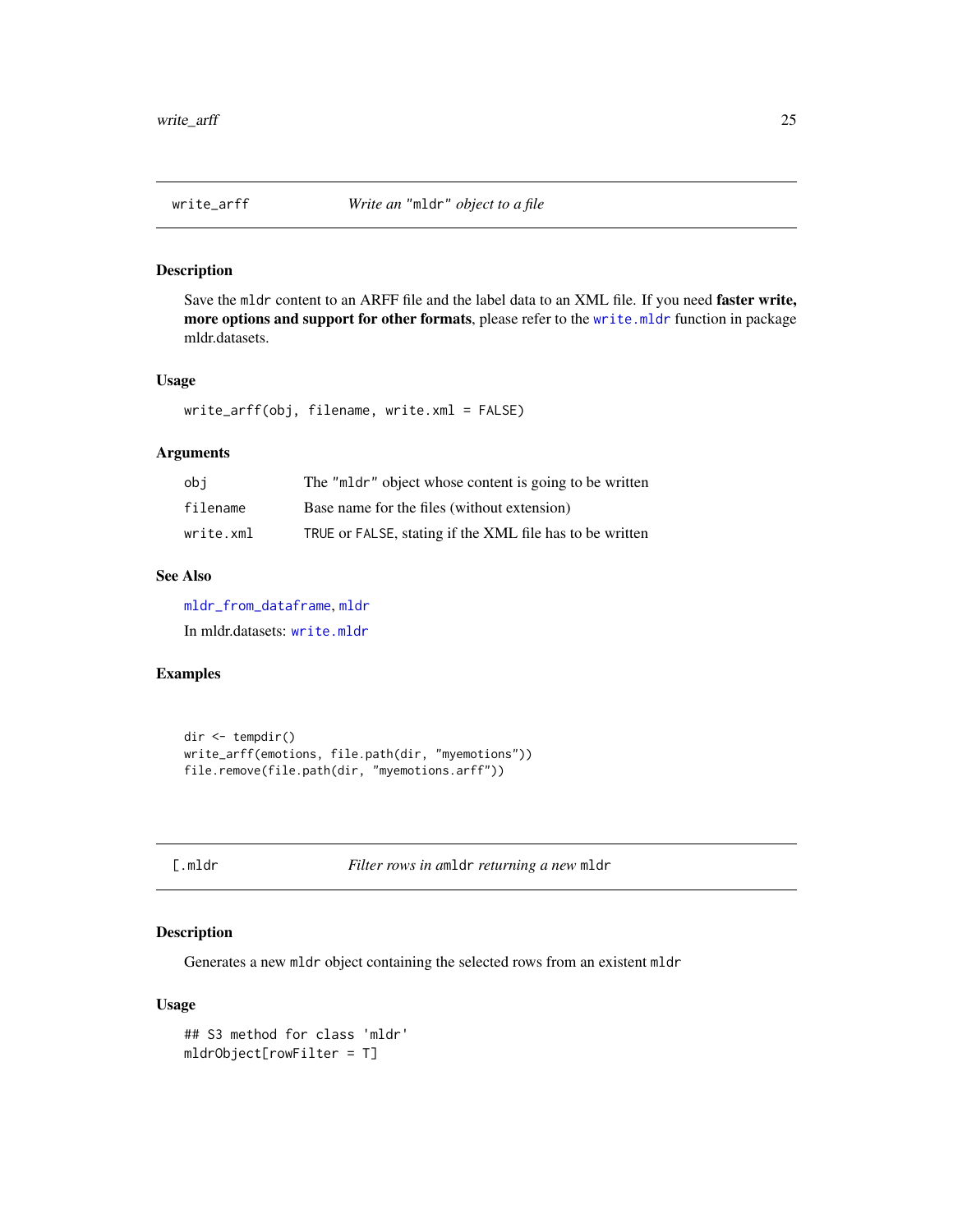<span id="page-24-0"></span>

#### Description

Save the mldr content to an ARFF file and the label data to an XML file. If you need faster write, more options and support for other formats, please refer to the [write.mldr](#page-0-0) function in package mldr.datasets.

# Usage

```
write_arff(obj, filename, write.xml = FALSE)
```
# Arguments

| obi       | The "mldr" object whose content is going to be written   |
|-----------|----------------------------------------------------------|
| filename  | Base name for the files (without extension)              |
| write.xml | TRUE or FALSE, stating if the XML file has to be written |

# See Also

[mldr\\_from\\_dataframe](#page-14-1), [mldr](#page-10-1)

In mldr.datasets: [write.mldr](#page-0-0)

#### Examples

```
dir <- tempdir()
write_arff(emotions, file.path(dir, "myemotions"))
file.remove(file.path(dir, "myemotions.arff"))
```

|  | 88 E | u. |  |
|--|------|----|--|

[.mldr *Filter rows in a*mldr *returning a new* mldr

# Description

Generates a new mldr object containing the selected rows from an existent mldr

#### Usage

```
## S3 method for class 'mldr'
mldrObject[rowFilter = T]
```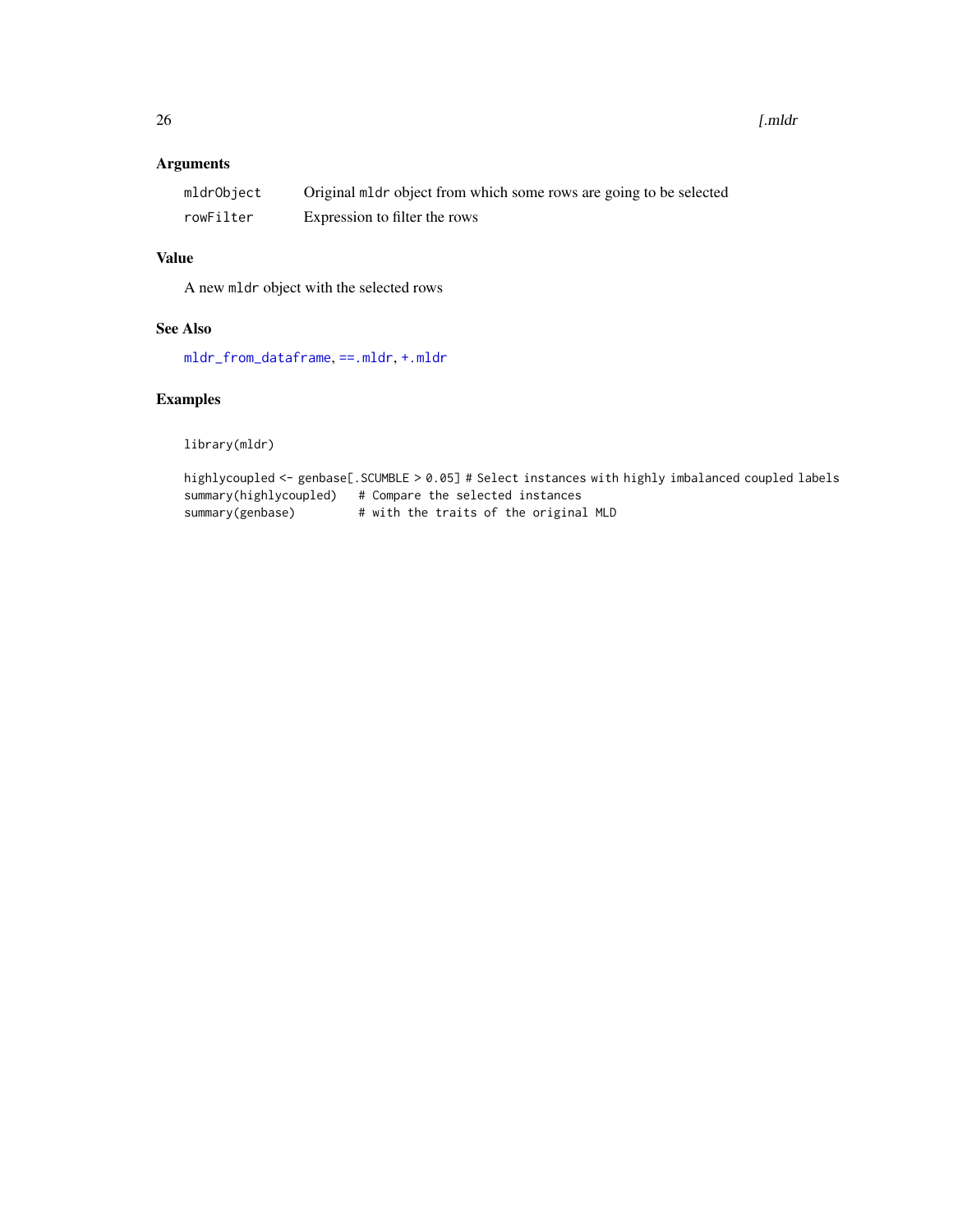<span id="page-25-0"></span> $26$  [.mldr

# Arguments

| mldrObject | Original mldr object from which some rows are going to be selected |
|------------|--------------------------------------------------------------------|
| rowFilter  | Expression to filter the rows                                      |

# Value

A new mldr object with the selected rows

# See Also

[mldr\\_from\\_dataframe](#page-14-1), [==.mldr](#page-2-2), [+.mldr](#page-1-1)

# Examples

library(mldr)

```
highlycoupled <- genbase[.SCUMBLE > 0.05] # Select instances with highly imbalanced coupled labels
summary(highlycoupled) # Compare the selected instances
summary(genbase) # with the traits of the original MLD
```